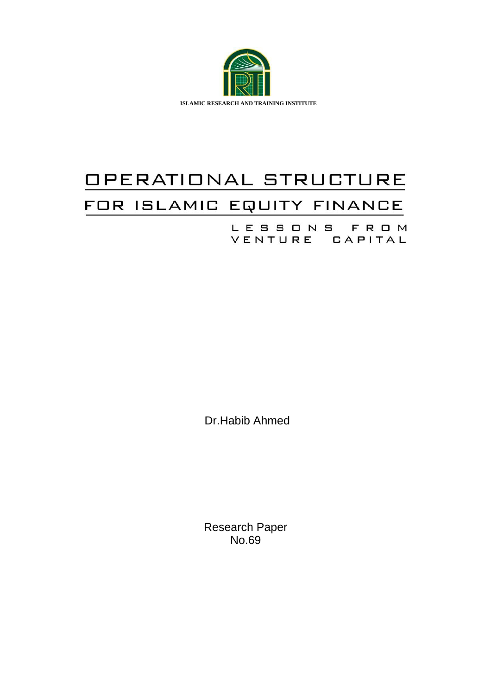

# OPERATIONAL STRUCTURE FOR ISLAMIC EQUITY FINANCE

LESSONS FROM VENTURE CAPITAL

Dr.Habib Ahmed

Research Paper No.69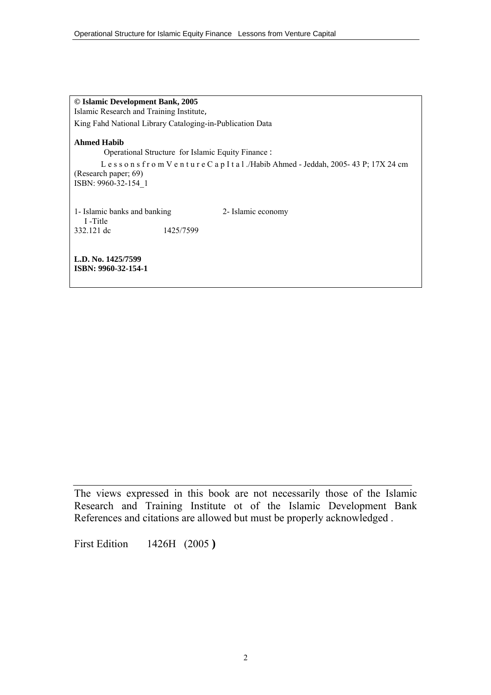**© Islamic Development Bank, 2005** Islamic Research and Training Institute, King Fahd National Library Cataloging-in-Publication Data

**Ahmed Habib** 

Operational Structure for Islamic Equity Finance :

L e s s o n s f r o m V e n t u r e C a p I t a l ./Habib Ahmed - Jeddah, 2005- 43 P; 17X 24 cm (Research paper; 69) ISBN: 9960-32-154\_1

1- Islamic banks and banking 2- Islamic economy I -Title 332.121 dc 1425/7599

**L.D. No. 1425/7599 ISBN: 9960-32-154-1** 

The views expressed in this book are not necessarily those of the Islamic Research and Training Institute ot of the Islamic Development Bank References and citations are allowed but must be properly acknowledged .

First Edition 1426H (2005 **)**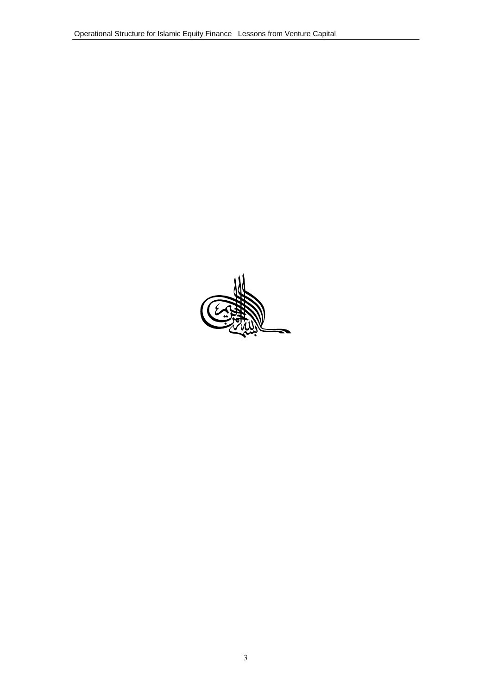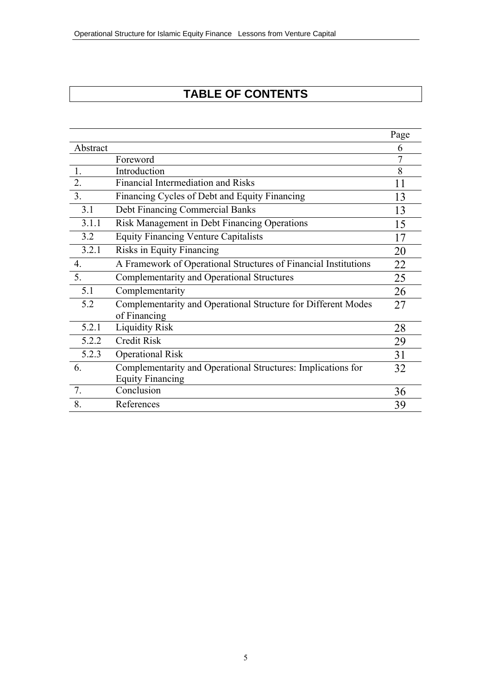# **TABLE OF CONTENTS**

|                  |                                                                 | Page |
|------------------|-----------------------------------------------------------------|------|
| Abstract         |                                                                 | 6    |
|                  | Foreword                                                        | 7    |
| 1.               | Introduction                                                    | 8    |
| $\overline{2}$ . | Financial Intermediation and Risks                              | 11   |
| 3.               | Financing Cycles of Debt and Equity Financing                   | 13   |
| 3.1              | <b>Debt Financing Commercial Banks</b>                          | 13   |
| 3.1.1            | Risk Management in Debt Financing Operations                    | 15   |
| 3.2              | <b>Equity Financing Venture Capitalists</b>                     | 17   |
| 3.2.1            | Risks in Equity Financing                                       | 20   |
| $\overline{4}$ . | A Framework of Operational Structures of Financial Institutions | 22   |
| 5.               | Complementarity and Operational Structures                      | 25   |
| 5.1              | Complementarity                                                 | 26   |
| 5.2              | Complementarity and Operational Structure for Different Modes   | 27   |
|                  | of Financing                                                    |      |
| 5.2.1            | <b>Liquidity Risk</b>                                           | 28   |
| 5.2.2            | <b>Credit Risk</b>                                              | 29   |
| 5.2.3            | <b>Operational Risk</b>                                         | 31   |
| 6.               | Complementarity and Operational Structures: Implications for    | 32   |
|                  | <b>Equity Financing</b>                                         |      |
| 7.               | Conclusion                                                      | 36   |
| 8.               | References                                                      | 39   |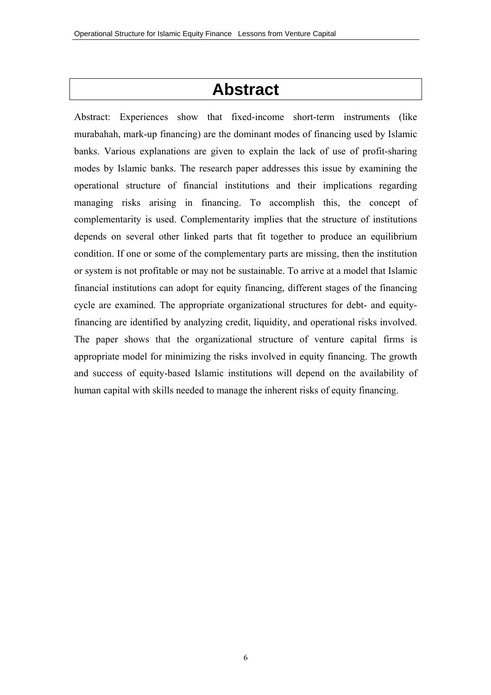# **Abstract**

Abstract: Experiences show that fixed-income short-term instruments (like murabahah, mark-up financing) are the dominant modes of financing used by Islamic banks. Various explanations are given to explain the lack of use of profit-sharing modes by Islamic banks. The research paper addresses this issue by examining the operational structure of financial institutions and their implications regarding managing risks arising in financing. To accomplish this, the concept of complementarity is used. Complementarity implies that the structure of institutions depends on several other linked parts that fit together to produce an equilibrium condition. If one or some of the complementary parts are missing, then the institution or system is not profitable or may not be sustainable. To arrive at a model that Islamic financial institutions can adopt for equity financing, different stages of the financing cycle are examined. The appropriate organizational structures for debt- and equityfinancing are identified by analyzing credit, liquidity, and operational risks involved. The paper shows that the organizational structure of venture capital firms is appropriate model for minimizing the risks involved in equity financing. The growth and success of equity-based Islamic institutions will depend on the availability of human capital with skills needed to manage the inherent risks of equity financing.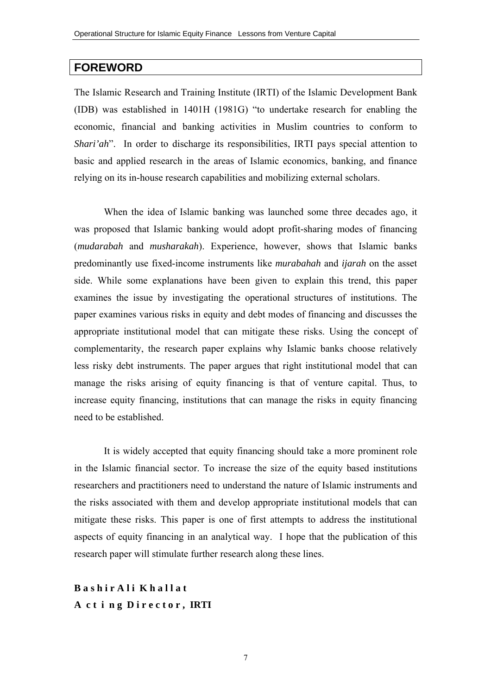# **FOREWORD**

The Islamic Research and Training Institute (IRTI) of the Islamic Development Bank (IDB) was established in 1401H (1981G) "to undertake research for enabling the economic, financial and banking activities in Muslim countries to conform to *Shari'ah*". In order to discharge its responsibilities, IRTI pays special attention to basic and applied research in the areas of Islamic economics, banking, and finance relying on its in-house research capabilities and mobilizing external scholars.

When the idea of Islamic banking was launched some three decades ago, it was proposed that Islamic banking would adopt profit-sharing modes of financing (*mudarabah* and *musharakah*). Experience, however, shows that Islamic banks predominantly use fixed-income instruments like *murabahah* and *ijarah* on the asset side. While some explanations have been given to explain this trend, this paper examines the issue by investigating the operational structures of institutions. The paper examines various risks in equity and debt modes of financing and discusses the appropriate institutional model that can mitigate these risks. Using the concept of complementarity, the research paper explains why Islamic banks choose relatively less risky debt instruments. The paper argues that right institutional model that can manage the risks arising of equity financing is that of venture capital. Thus, to increase equity financing, institutions that can manage the risks in equity financing need to be established.

It is widely accepted that equity financing should take a more prominent role in the Islamic financial sector. To increase the size of the equity based institutions researchers and practitioners need to understand the nature of Islamic instruments and the risks associated with them and develop appropriate institutional models that can mitigate these risks. This paper is one of first attempts to address the institutional aspects of equity financing in an analytical way. I hope that the publication of this research paper will stimulate further research along these lines.

**Bashir Ali Khallat A c t i n g D i r e c t o r , IRTI**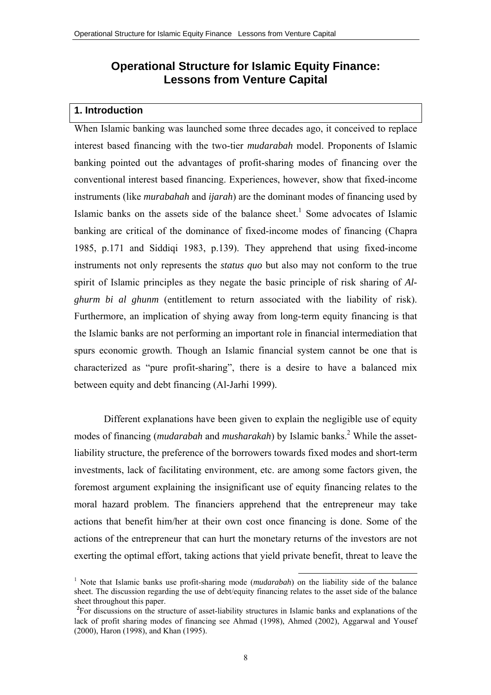# **Operational Structure for Islamic Equity Finance: Lessons from Venture Capital**

#### **1. Introduction**

When Islamic banking was launched some three decades ago, it conceived to replace interest based financing with the two-tier *mudarabah* model. Proponents of Islamic banking pointed out the advantages of profit-sharing modes of financing over the conventional interest based financing. Experiences, however, show that fixed-income instruments (like *murabahah* and *ijarah*) are the dominant modes of financing used by Islamic banks on the assets side of the balance sheet.<sup>1</sup> Some advocates of Islamic banking are critical of the dominance of fixed-income modes of financing (Chapra 1985, p.171 and Siddiqi 1983, p.139). They apprehend that using fixed-income instruments not only represents the *status quo* but also may not conform to the true spirit of Islamic principles as they negate the basic principle of risk sharing of *Alghurm bi al ghunm* (entitlement to return associated with the liability of risk). Furthermore, an implication of shying away from long-term equity financing is that the Islamic banks are not performing an important role in financial intermediation that spurs economic growth. Though an Islamic financial system cannot be one that is characterized as "pure profit-sharing", there is a desire to have a balanced mix between equity and debt financing (Al-Jarhi 1999).

Different explanations have been given to explain the negligible use of equity modes of financing (*mudarabah* and *musharakah*) by Islamic banks.<sup>2</sup> While the assetliability structure, the preference of the borrowers towards fixed modes and short-term investments, lack of facilitating environment, etc. are among some factors given, the foremost argument explaining the insignificant use of equity financing relates to the moral hazard problem. The financiers apprehend that the entrepreneur may take actions that benefit him/her at their own cost once financing is done. Some of the actions of the entrepreneur that can hurt the monetary returns of the investors are not exerting the optimal effort, taking actions that yield private benefit, threat to leave the

<sup>&</sup>lt;sup>1</sup> Note that Islamic banks use profit-sharing mode (*mudarabah*) on the liability side of the balance sheet. The discussion regarding the use of debt/equity financing relates to the asset side of the balance sheet throughout this paper.

<sup>&</sup>lt;sup>2</sup>For discussions on the structure of asset-liability structures in Islamic banks and explanations of the lack of profit sharing modes of financing see Ahmad (1998), Ahmed (2002), Aggarwal and Yousef (2000), Haron (1998), and Khan (1995).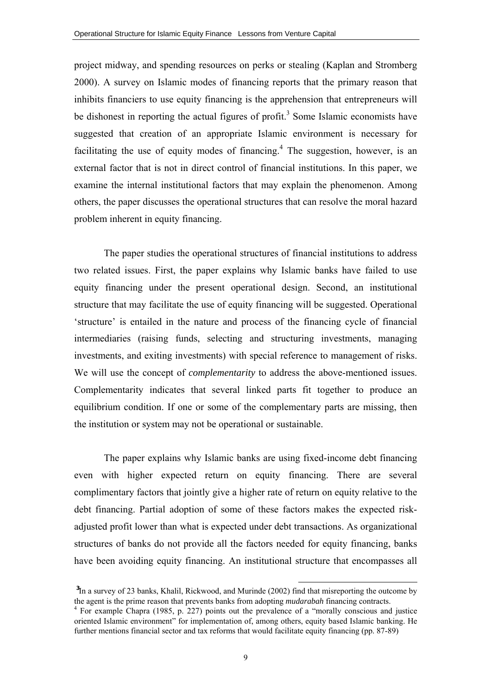project midway, and spending resources on perks or stealing (Kaplan and Stromberg 2000). A survey on Islamic modes of financing reports that the primary reason that inhibits financiers to use equity financing is the apprehension that entrepreneurs will be dishonest in reporting the actual figures of profit.<sup>3</sup> Some Islamic economists have suggested that creation of an appropriate Islamic environment is necessary for facilitating the use of equity modes of financing. $4$  The suggestion, however, is an external factor that is not in direct control of financial institutions. In this paper, we examine the internal institutional factors that may explain the phenomenon. Among others, the paper discusses the operational structures that can resolve the moral hazard problem inherent in equity financing.

The paper studies the operational structures of financial institutions to address two related issues. First, the paper explains why Islamic banks have failed to use equity financing under the present operational design. Second, an institutional structure that may facilitate the use of equity financing will be suggested. Operational 'structure' is entailed in the nature and process of the financing cycle of financial intermediaries (raising funds, selecting and structuring investments, managing investments, and exiting investments) with special reference to management of risks. We will use the concept of *complementarity* to address the above-mentioned issues. Complementarity indicates that several linked parts fit together to produce an equilibrium condition. If one or some of the complementary parts are missing, then the institution or system may not be operational or sustainable.

The paper explains why Islamic banks are using fixed-income debt financing even with higher expected return on equity financing. There are several complimentary factors that jointly give a higher rate of return on equity relative to the debt financing. Partial adoption of some of these factors makes the expected riskadjusted profit lower than what is expected under debt transactions. As organizational structures of banks do not provide all the factors needed for equity financing, banks have been avoiding equity financing. An institutional structure that encompasses all

l

<sup>&</sup>lt;sup>3</sup>In a survey of 23 banks, Khalil, Rickwood, and Murinde (2002) find that misreporting the outcome by the agent is the prime reason that prevents banks from adopting *mudarabah* financing contracts. 4

For example Chapra (1985, p. 227) points out the prevalence of a "morally conscious and justice oriented Islamic environment" for implementation of, among others, equity based Islamic banking. He further mentions financial sector and tax reforms that would facilitate equity financing (pp. 87-89)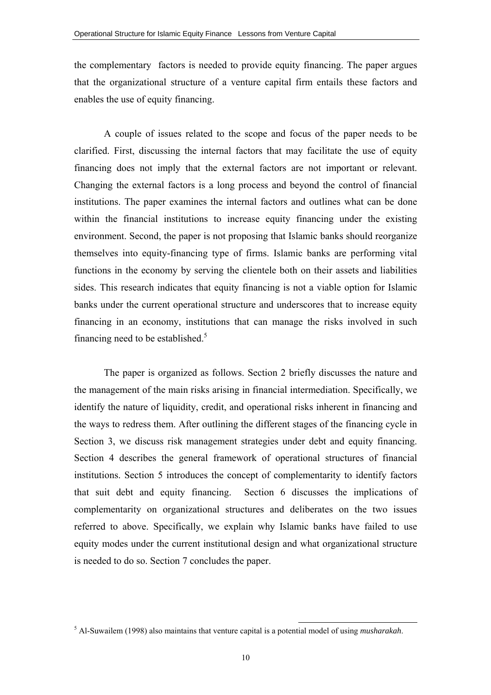the complementary factors is needed to provide equity financing. The paper argues that the organizational structure of a venture capital firm entails these factors and enables the use of equity financing.

A couple of issues related to the scope and focus of the paper needs to be clarified. First, discussing the internal factors that may facilitate the use of equity financing does not imply that the external factors are not important or relevant. Changing the external factors is a long process and beyond the control of financial institutions. The paper examines the internal factors and outlines what can be done within the financial institutions to increase equity financing under the existing environment. Second, the paper is not proposing that Islamic banks should reorganize themselves into equity-financing type of firms. Islamic banks are performing vital functions in the economy by serving the clientele both on their assets and liabilities sides. This research indicates that equity financing is not a viable option for Islamic banks under the current operational structure and underscores that to increase equity financing in an economy, institutions that can manage the risks involved in such financing need to be established.<sup>5</sup>

The paper is organized as follows. Section 2 briefly discusses the nature and the management of the main risks arising in financial intermediation. Specifically, we identify the nature of liquidity, credit, and operational risks inherent in financing and the ways to redress them. After outlining the different stages of the financing cycle in Section 3, we discuss risk management strategies under debt and equity financing. Section 4 describes the general framework of operational structures of financial institutions. Section 5 introduces the concept of complementarity to identify factors that suit debt and equity financing. Section 6 discusses the implications of complementarity on organizational structures and deliberates on the two issues referred to above. Specifically, we explain why Islamic banks have failed to use equity modes under the current institutional design and what organizational structure is needed to do so. Section 7 concludes the paper.

 <sup>5</sup> Al-Suwailem (1998) also maintains that venture capital is a potential model of using *musharakah*.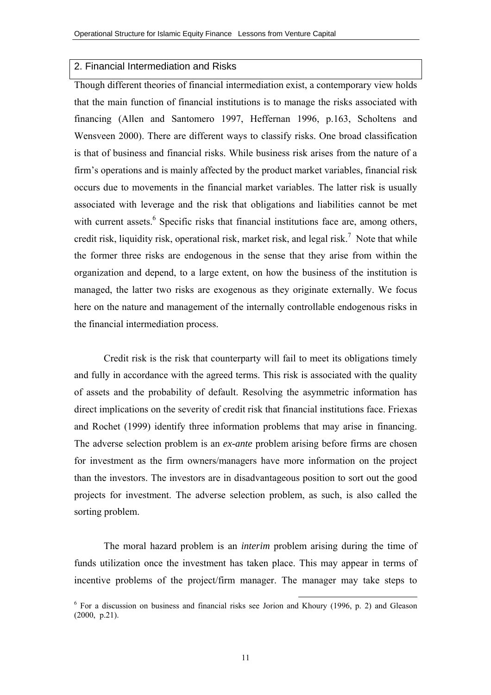#### 2. Financial Intermediation and Risks

Though different theories of financial intermediation exist, a contemporary view holds that the main function of financial institutions is to manage the risks associated with financing (Allen and Santomero 1997, Heffernan 1996, p.163, Scholtens and Wensveen 2000). There are different ways to classify risks. One broad classification is that of business and financial risks. While business risk arises from the nature of a firm's operations and is mainly affected by the product market variables, financial risk occurs due to movements in the financial market variables. The latter risk is usually associated with leverage and the risk that obligations and liabilities cannot be met with current assets.<sup>6</sup> Specific risks that financial institutions face are, among others, credit risk, liquidity risk, operational risk, market risk, and legal risk.<sup>7</sup> Note that while the former three risks are endogenous in the sense that they arise from within the organization and depend, to a large extent, on how the business of the institution is managed, the latter two risks are exogenous as they originate externally. We focus here on the nature and management of the internally controllable endogenous risks in the financial intermediation process.

Credit risk is the risk that counterparty will fail to meet its obligations timely and fully in accordance with the agreed terms. This risk is associated with the quality of assets and the probability of default. Resolving the asymmetric information has direct implications on the severity of credit risk that financial institutions face. Friexas and Rochet (1999) identify three information problems that may arise in financing. The adverse selection problem is an *ex-ante* problem arising before firms are chosen for investment as the firm owners/managers have more information on the project than the investors. The investors are in disadvantageous position to sort out the good projects for investment. The adverse selection problem, as such, is also called the sorting problem.

The moral hazard problem is an *interim* problem arising during the time of funds utilization once the investment has taken place. This may appear in terms of incentive problems of the project/firm manager. The manager may take steps to

<sup>&</sup>lt;sup>6</sup> For a discussion on business and financial risks see Jorion and Khoury (1996, p. 2) and Gleason (2000, p.21).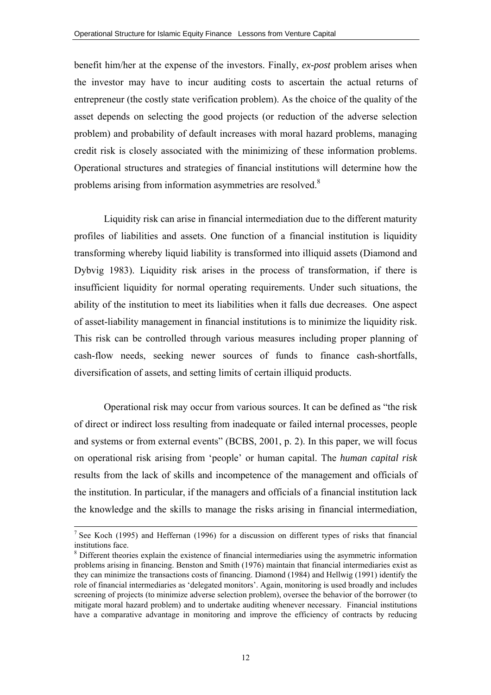benefit him/her at the expense of the investors. Finally, *ex-post* problem arises when the investor may have to incur auditing costs to ascertain the actual returns of entrepreneur (the costly state verification problem). As the choice of the quality of the asset depends on selecting the good projects (or reduction of the adverse selection problem) and probability of default increases with moral hazard problems, managing credit risk is closely associated with the minimizing of these information problems. Operational structures and strategies of financial institutions will determine how the problems arising from information asymmetries are resolved.<sup>8</sup>

Liquidity risk can arise in financial intermediation due to the different maturity profiles of liabilities and assets. One function of a financial institution is liquidity transforming whereby liquid liability is transformed into illiquid assets (Diamond and Dybvig 1983). Liquidity risk arises in the process of transformation, if there is insufficient liquidity for normal operating requirements. Under such situations, the ability of the institution to meet its liabilities when it falls due decreases. One aspect of asset-liability management in financial institutions is to minimize the liquidity risk. This risk can be controlled through various measures including proper planning of cash-flow needs, seeking newer sources of funds to finance cash-shortfalls, diversification of assets, and setting limits of certain illiquid products.

Operational risk may occur from various sources. It can be defined as "the risk of direct or indirect loss resulting from inadequate or failed internal processes, people and systems or from external events" (BCBS, 2001, p. 2). In this paper, we will focus on operational risk arising from 'people' or human capital. The *human capital risk* results from the lack of skills and incompetence of the management and officials of the institution. In particular, if the managers and officials of a financial institution lack the knowledge and the skills to manage the risks arising in financial intermediation,

<sup>&</sup>lt;sup>7</sup> See Koch (1995) and Heffernan (1996) for a discussion on different types of risks that financial institutions face.

<sup>&</sup>lt;sup>8</sup> Different theories explain the existence of financial intermediaries using the asymmetric information problems arising in financing. Benston and Smith (1976) maintain that financial intermediaries exist as they can minimize the transactions costs of financing. Diamond (1984) and Hellwig (1991) identify the role of financial intermediaries as 'delegated monitors'. Again, monitoring is used broadly and includes screening of projects (to minimize adverse selection problem), oversee the behavior of the borrower (to mitigate moral hazard problem) and to undertake auditing whenever necessary. Financial institutions have a comparative advantage in monitoring and improve the efficiency of contracts by reducing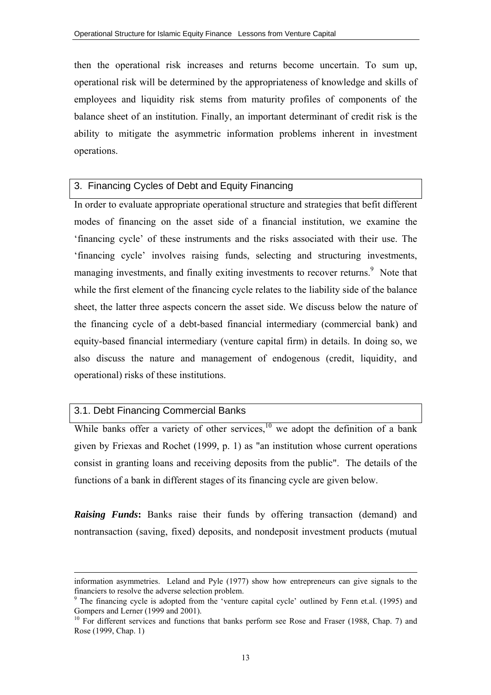then the operational risk increases and returns become uncertain. To sum up, operational risk will be determined by the appropriateness of knowledge and skills of employees and liquidity risk stems from maturity profiles of components of the balance sheet of an institution. Finally, an important determinant of credit risk is the ability to mitigate the asymmetric information problems inherent in investment operations.

#### 3. Financing Cycles of Debt and Equity Financing

In order to evaluate appropriate operational structure and strategies that befit different modes of financing on the asset side of a financial institution, we examine the 'financing cycle' of these instruments and the risks associated with their use. The 'financing cycle' involves raising funds, selecting and structuring investments, managing investments, and finally exiting investments to recover returns.<sup>9</sup> Note that while the first element of the financing cycle relates to the liability side of the balance sheet, the latter three aspects concern the asset side. We discuss below the nature of the financing cycle of a debt-based financial intermediary (commercial bank) and equity-based financial intermediary (venture capital firm) in details. In doing so, we also discuss the nature and management of endogenous (credit, liquidity, and operational) risks of these institutions.

# 3.1. Debt Financing Commercial Banks

 $\overline{a}$ 

While banks offer a variety of other services, $10$  we adopt the definition of a bank given by Friexas and Rochet (1999, p. 1) as "an institution whose current operations consist in granting loans and receiving deposits from the public". The details of the functions of a bank in different stages of its financing cycle are given below.

*Raising Funds***:** Banks raise their funds by offering transaction (demand) and nontransaction (saving, fixed) deposits, and nondeposit investment products (mutual

information asymmetries. Leland and Pyle (1977) show how entrepreneurs can give signals to the financiers to resolve the adverse selection problem.

<sup>&</sup>lt;sup>9</sup> The financing cycle is adopted from the 'venture capital cycle' outlined by Fenn et.al. (1995) and Gompers and Lerner (1999 and 2001).

<sup>&</sup>lt;sup>10</sup> For different services and functions that banks perform see Rose and Fraser (1988, Chap. 7) and Rose (1999, Chap. 1)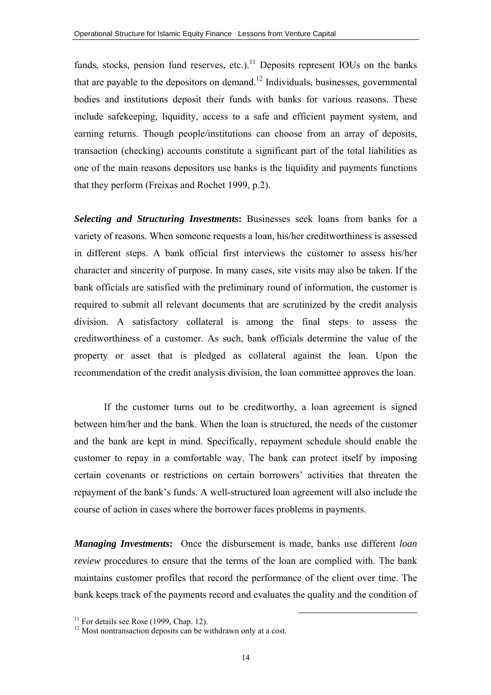funds, stocks, pension fund reserves, etc.).<sup>11</sup> Deposits represent IOUs on the banks that are payable to the depositors on demand.<sup>12</sup> Individuals, businesses, governmental bodies and institutions deposit their funds with banks for various reasons. These include safekeeping, liquidity, access to a safe and efficient payment system, and earning returns. Though people/institutions can choose from an array of deposits, transaction (checking) accounts constitute a significant part of the total liabilities as one of the main reasons depositors use banks is the liquidity and payments functions that they perform (Freixas and Rochet 1999, p.2).

*Selecting and Structuring Investments***:** Businesses seek loans from banks for a variety of reasons. When someone requests a loan, his/her creditworthiness is assessed in different steps. A bank official first interviews the customer to assess his/her character and sincerity of purpose. In many cases, site visits may also be taken. If the bank officials are satisfied with the preliminary round of information, the customer is required to submit all relevant documents that are scrutinized by the credit analysis division. A satisfactory collateral is among the final steps to assess the creditworthiness of a customer. As such, bank officials determine the value of the property or asset that is pledged as collateral against the loan. Upon the recommendation of the credit analysis division, the loan committee approves the loan.

If the customer turns out to be creditworthy, a loan agreement is signed between him/her and the bank. When the loan is structured, the needs of the customer and the bank are kept in mind. Specifically, repayment schedule should enable the customer to repay in a comfortable way. The bank can protect itself by imposing certain covenants or restrictions on certain borrowers' activities that threaten the repayment of the bank's funds. A well-structured loan agreement will also include the course of action in cases where the borrower faces problems in payments.

*Managing Investments***:** Once the disbursement is made, banks use different *loan review* procedures to ensure that the terms of the loan are complied with. The bank maintains customer profiles that record the performance of the client over time. The bank keeps track of the payments record and evaluates the quality and the condition of

 $11$  For details see Rose (1999, Chap. 12).

 $12$  Most nontransaction deposits can be withdrawn only at a cost.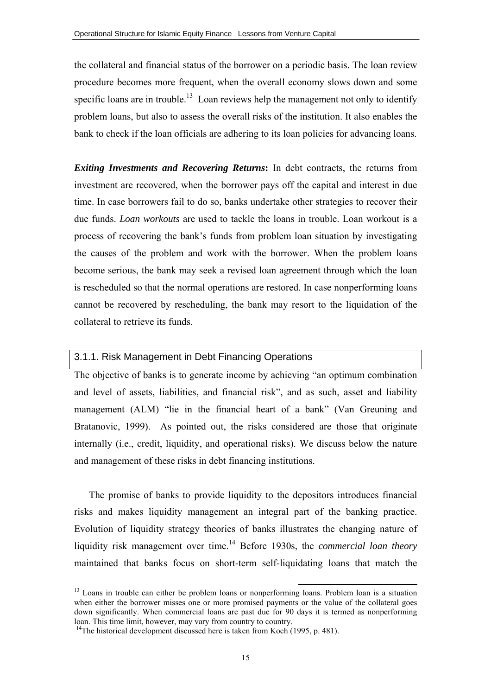the collateral and financial status of the borrower on a periodic basis. The loan review procedure becomes more frequent, when the overall economy slows down and some specific loans are in trouble.<sup>13</sup> Loan reviews help the management not only to identify problem loans, but also to assess the overall risks of the institution. It also enables the bank to check if the loan officials are adhering to its loan policies for advancing loans.

*Exiting Investments and Recovering Returns***:** In debt contracts, the returns from investment are recovered, when the borrower pays off the capital and interest in due time. In case borrowers fail to do so, banks undertake other strategies to recover their due funds. *Loan workouts* are used to tackle the loans in trouble. Loan workout is a process of recovering the bank's funds from problem loan situation by investigating the causes of the problem and work with the borrower. When the problem loans become serious, the bank may seek a revised loan agreement through which the loan is rescheduled so that the normal operations are restored. In case nonperforming loans cannot be recovered by rescheduling, the bank may resort to the liquidation of the collateral to retrieve its funds.

#### 3.1.1. Risk Management in Debt Financing Operations

The objective of banks is to generate income by achieving "an optimum combination and level of assets, liabilities, and financial risk", and as such, asset and liability management (ALM) "lie in the financial heart of a bank" (Van Greuning and Bratanovic, 1999). As pointed out, the risks considered are those that originate internally (i.e., credit, liquidity, and operational risks). We discuss below the nature and management of these risks in debt financing institutions.

The promise of banks to provide liquidity to the depositors introduces financial risks and makes liquidity management an integral part of the banking practice. Evolution of liquidity strategy theories of banks illustrates the changing nature of liquidity risk management over time.<sup>14</sup> Before 1930s, the *commercial loan theory* maintained that banks focus on short-term self-liquidating loans that match the

<sup>&</sup>lt;sup>13</sup> Loans in trouble can either be problem loans or nonperforming loans. Problem loan is a situation when either the borrower misses one or more promised payments or the value of the collateral goes down significantly. When commercial loans are past due for 90 days it is termed as nonperforming loan. This time limit, however, may vary from country to country.

<sup>&</sup>lt;sup>14</sup>The historical development discussed here is taken from Koch (1995, p. 481).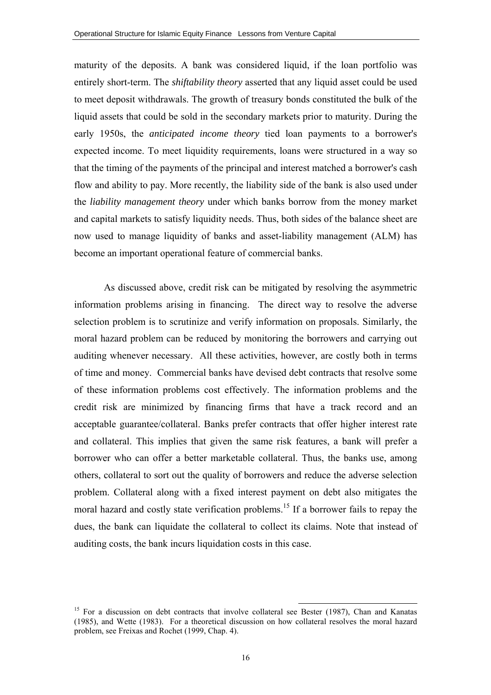maturity of the deposits. A bank was considered liquid, if the loan portfolio was entirely short-term. The *shiftability theory* asserted that any liquid asset could be used to meet deposit withdrawals. The growth of treasury bonds constituted the bulk of the liquid assets that could be sold in the secondary markets prior to maturity. During the early 1950s, the *anticipated income theory* tied loan payments to a borrower's expected income. To meet liquidity requirements, loans were structured in a way so that the timing of the payments of the principal and interest matched a borrower's cash flow and ability to pay. More recently, the liability side of the bank is also used under the *liability management theory* under which banks borrow from the money market and capital markets to satisfy liquidity needs. Thus, both sides of the balance sheet are now used to manage liquidity of banks and asset-liability management (ALM) has become an important operational feature of commercial banks.

As discussed above, credit risk can be mitigated by resolving the asymmetric information problems arising in financing. The direct way to resolve the adverse selection problem is to scrutinize and verify information on proposals. Similarly, the moral hazard problem can be reduced by monitoring the borrowers and carrying out auditing whenever necessary. All these activities, however, are costly both in terms of time and money. Commercial banks have devised debt contracts that resolve some of these information problems cost effectively. The information problems and the credit risk are minimized by financing firms that have a track record and an acceptable guarantee/collateral. Banks prefer contracts that offer higher interest rate and collateral. This implies that given the same risk features, a bank will prefer a borrower who can offer a better marketable collateral. Thus, the banks use, among others, collateral to sort out the quality of borrowers and reduce the adverse selection problem. Collateral along with a fixed interest payment on debt also mitigates the moral hazard and costly state verification problems.<sup>15</sup> If a borrower fails to repay the dues, the bank can liquidate the collateral to collect its claims. Note that instead of auditing costs, the bank incurs liquidation costs in this case.

<sup>&</sup>lt;sup>15</sup> For a discussion on debt contracts that involve collateral see Bester (1987), Chan and Kanatas (1985), and Wette (1983). For a theoretical discussion on how collateral resolves the moral hazard problem, see Freixas and Rochet (1999, Chap. 4).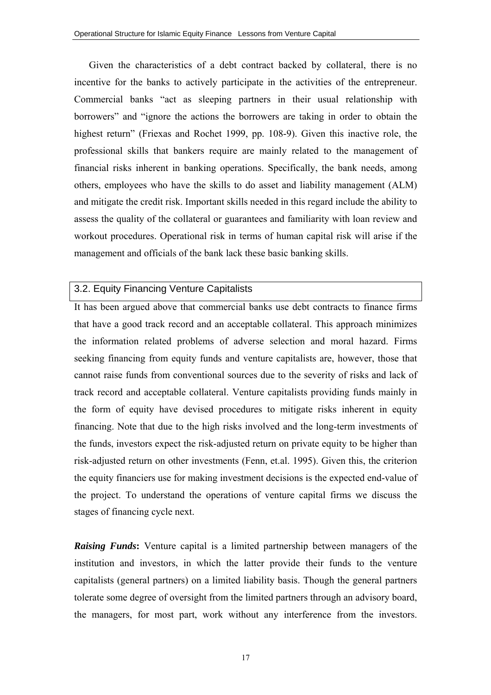Given the characteristics of a debt contract backed by collateral, there is no incentive for the banks to actively participate in the activities of the entrepreneur. Commercial banks "act as sleeping partners in their usual relationship with borrowers" and "ignore the actions the borrowers are taking in order to obtain the highest return" (Friexas and Rochet 1999, pp. 108-9). Given this inactive role, the professional skills that bankers require are mainly related to the management of financial risks inherent in banking operations. Specifically, the bank needs, among others, employees who have the skills to do asset and liability management (ALM) and mitigate the credit risk. Important skills needed in this regard include the ability to assess the quality of the collateral or guarantees and familiarity with loan review and workout procedures. Operational risk in terms of human capital risk will arise if the management and officials of the bank lack these basic banking skills.

# 3.2. Equity Financing Venture Capitalists

It has been argued above that commercial banks use debt contracts to finance firms that have a good track record and an acceptable collateral. This approach minimizes the information related problems of adverse selection and moral hazard. Firms seeking financing from equity funds and venture capitalists are, however, those that cannot raise funds from conventional sources due to the severity of risks and lack of track record and acceptable collateral. Venture capitalists providing funds mainly in the form of equity have devised procedures to mitigate risks inherent in equity financing. Note that due to the high risks involved and the long-term investments of the funds, investors expect the risk-adjusted return on private equity to be higher than risk-adjusted return on other investments (Fenn, et.al. 1995). Given this, the criterion the equity financiers use for making investment decisions is the expected end-value of the project. To understand the operations of venture capital firms we discuss the stages of financing cycle next.

*Raising Funds***:** Venture capital is a limited partnership between managers of the institution and investors, in which the latter provide their funds to the venture capitalists (general partners) on a limited liability basis. Though the general partners tolerate some degree of oversight from the limited partners through an advisory board, the managers, for most part, work without any interference from the investors.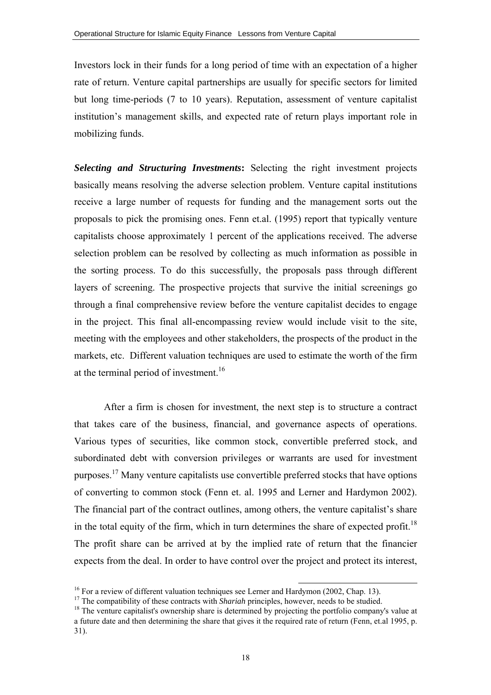Investors lock in their funds for a long period of time with an expectation of a higher rate of return. Venture capital partnerships are usually for specific sectors for limited but long time-periods (7 to 10 years). Reputation, assessment of venture capitalist institution's management skills, and expected rate of return plays important role in mobilizing funds.

*Selecting and Structuring Investments***:** Selecting the right investment projects basically means resolving the adverse selection problem. Venture capital institutions receive a large number of requests for funding and the management sorts out the proposals to pick the promising ones. Fenn et.al. (1995) report that typically venture capitalists choose approximately 1 percent of the applications received. The adverse selection problem can be resolved by collecting as much information as possible in the sorting process. To do this successfully, the proposals pass through different layers of screening. The prospective projects that survive the initial screenings go through a final comprehensive review before the venture capitalist decides to engage in the project. This final all-encompassing review would include visit to the site, meeting with the employees and other stakeholders, the prospects of the product in the markets, etc. Different valuation techniques are used to estimate the worth of the firm at the terminal period of investment.<sup>16</sup>

After a firm is chosen for investment, the next step is to structure a contract that takes care of the business, financial, and governance aspects of operations. Various types of securities, like common stock, convertible preferred stock, and subordinated debt with conversion privileges or warrants are used for investment purposes.17 Many venture capitalists use convertible preferred stocks that have options of converting to common stock (Fenn et. al. 1995 and Lerner and Hardymon 2002). The financial part of the contract outlines, among others, the venture capitalist's share in the total equity of the firm, which in turn determines the share of expected profit.<sup>18</sup> The profit share can be arrived at by the implied rate of return that the financier expects from the deal. In order to have control over the project and protect its interest,

<sup>&</sup>lt;sup>16</sup> For a review of different valuation techniques see Lerner and Hardymon (2002, Chap. 13).<br><sup>17</sup> The compatibility of these contracts with *Shariah* principles, however, needs to be studied.

<sup>&</sup>lt;sup>18</sup> The venture capitalist's ownership share is determined by projecting the portfolio company's value at a future date and then determining the share that gives it the required rate of return (Fenn, et.al 1995, p. 31).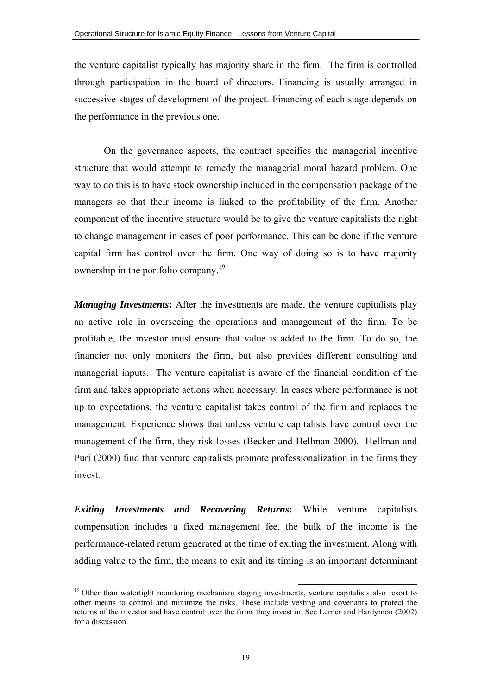the venture capitalist typically has majority share in the firm. The firm is controlled through participation in the board of directors. Financing is usually arranged in successive stages of development of the project. Financing of each stage depends on the performance in the previous one.

On the governance aspects, the contract specifies the managerial incentive structure that would attempt to remedy the managerial moral hazard problem. One way to do this is to have stock ownership included in the compensation package of the managers so that their income is linked to the profitability of the firm. Another component of the incentive structure would be to give the venture capitalists the right to change management in cases of poor performance. This can be done if the venture capital firm has control over the firm. One way of doing so is to have majority ownership in the portfolio company.<sup>19</sup>

*Managing Investments***:** After the investments are made, the venture capitalists play an active role in overseeing the operations and management of the firm. To be profitable, the investor must ensure that value is added to the firm. To do so, the financier not only monitors the firm, but also provides different consulting and managerial inputs. The venture capitalist is aware of the financial condition of the firm and takes appropriate actions when necessary. In cases where performance is not up to expectations, the venture capitalist takes control of the firm and replaces the management. Experience shows that unless venture capitalists have control over the management of the firm, they risk losses (Becker and Hellman 2000). Hellman and Puri (2000) find that venture capitalists promote professionalization in the firms they invest.

*Exiting Investments and Recovering Returns***:** While venture capitalists compensation includes a fixed management fee, the bulk of the income is the performance-related return generated at the time of exiting the investment. Along with adding value to the firm, the means to exit and its timing is an important determinant

<sup>&</sup>lt;sup>19</sup> Other than watertight monitoring mechanism staging investments, venture capitalists also resort to other means to control and minimize the risks. These include vesting and covenants to protect the returns of the investor and have control over the firms they invest in. See Lerner and Hardymon (2002) for a discussion.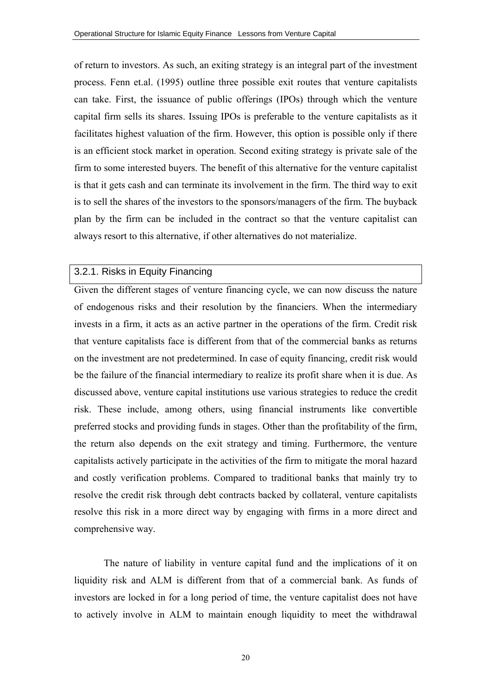of return to investors. As such, an exiting strategy is an integral part of the investment process. Fenn et.al. (1995) outline three possible exit routes that venture capitalists can take. First, the issuance of public offerings (IPOs) through which the venture capital firm sells its shares. Issuing IPOs is preferable to the venture capitalists as it facilitates highest valuation of the firm. However, this option is possible only if there is an efficient stock market in operation. Second exiting strategy is private sale of the firm to some interested buyers. The benefit of this alternative for the venture capitalist is that it gets cash and can terminate its involvement in the firm. The third way to exit is to sell the shares of the investors to the sponsors/managers of the firm. The buyback plan by the firm can be included in the contract so that the venture capitalist can always resort to this alternative, if other alternatives do not materialize.

# 3.2.1. Risks in Equity Financing

Given the different stages of venture financing cycle, we can now discuss the nature of endogenous risks and their resolution by the financiers. When the intermediary invests in a firm, it acts as an active partner in the operations of the firm. Credit risk that venture capitalists face is different from that of the commercial banks as returns on the investment are not predetermined. In case of equity financing, credit risk would be the failure of the financial intermediary to realize its profit share when it is due. As discussed above, venture capital institutions use various strategies to reduce the credit risk. These include, among others, using financial instruments like convertible preferred stocks and providing funds in stages. Other than the profitability of the firm, the return also depends on the exit strategy and timing. Furthermore, the venture capitalists actively participate in the activities of the firm to mitigate the moral hazard and costly verification problems. Compared to traditional banks that mainly try to resolve the credit risk through debt contracts backed by collateral, venture capitalists resolve this risk in a more direct way by engaging with firms in a more direct and comprehensive way.

The nature of liability in venture capital fund and the implications of it on liquidity risk and ALM is different from that of a commercial bank. As funds of investors are locked in for a long period of time, the venture capitalist does not have to actively involve in ALM to maintain enough liquidity to meet the withdrawal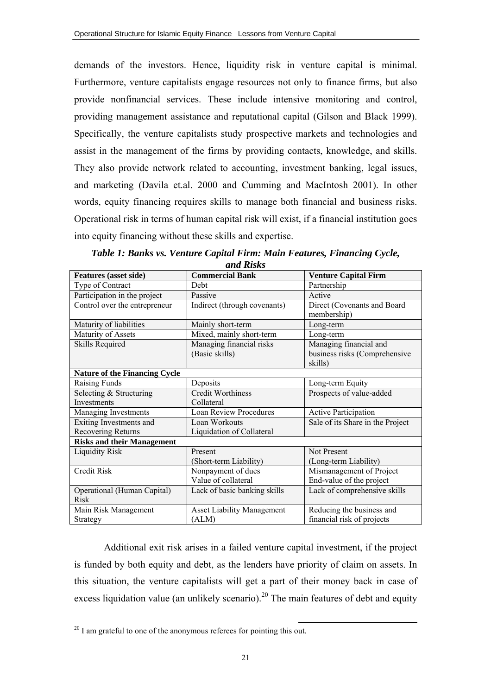demands of the investors. Hence, liquidity risk in venture capital is minimal. Furthermore, venture capitalists engage resources not only to finance firms, but also provide nonfinancial services. These include intensive monitoring and control, providing management assistance and reputational capital (Gilson and Black 1999). Specifically, the venture capitalists study prospective markets and technologies and assist in the management of the firms by providing contacts, knowledge, and skills. They also provide network related to accounting, investment banking, legal issues, and marketing (Davila et.al. 2000 and Cumming and MacIntosh 2001). In other words, equity financing requires skills to manage both financial and business risks. Operational risk in terms of human capital risk will exist, if a financial institution goes into equity financing without these skills and expertise.

| <i>unu Isks</i>                               |                                            |                                                                    |  |  |  |  |
|-----------------------------------------------|--------------------------------------------|--------------------------------------------------------------------|--|--|--|--|
| <b>Features</b> (asset side)                  | <b>Commercial Bank</b>                     | <b>Venture Capital Firm</b>                                        |  |  |  |  |
| Type of Contract                              | Debt                                       | Partnership                                                        |  |  |  |  |
| Participation in the project                  | Passive                                    | Active                                                             |  |  |  |  |
| Control over the entrepreneur                 | Indirect (through covenants)               | Direct (Covenants and Board<br>membership)                         |  |  |  |  |
| Maturity of liabilities                       | Mainly short-term                          | Long-term                                                          |  |  |  |  |
| Maturity of Assets                            | Mixed, mainly short-term                   | Long-term                                                          |  |  |  |  |
| <b>Skills Required</b>                        | Managing financial risks<br>(Basic skills) | Managing financial and<br>business risks (Comprehensive<br>skills) |  |  |  |  |
| <b>Nature of the Financing Cycle</b>          |                                            |                                                                    |  |  |  |  |
| Raising Funds                                 | Deposits                                   | Long-term Equity                                                   |  |  |  |  |
| Selecting & Structuring<br>Investments        | <b>Credit Worthiness</b><br>Collateral     | Prospects of value-added                                           |  |  |  |  |
| Managing Investments                          | <b>Loan Review Procedures</b>              | <b>Active Participation</b>                                        |  |  |  |  |
| Exiting Investments and<br>Recovering Returns | Loan Workouts<br>Liquidation of Collateral | Sale of its Share in the Project                                   |  |  |  |  |
| <b>Risks and their Management</b>             |                                            |                                                                    |  |  |  |  |
| <b>Liquidity Risk</b>                         | Present<br>(Short-term Liability)          | <b>Not Present</b><br>(Long-term Liability)                        |  |  |  |  |
| <b>Credit Risk</b>                            | Nonpayment of dues<br>Value of collateral  | Mismanagement of Project<br>End-value of the project               |  |  |  |  |
| Operational (Human Capital)<br><b>Risk</b>    | Lack of basic banking skills               | Lack of comprehensive skills                                       |  |  |  |  |
| Main Risk Management                          | <b>Asset Liability Management</b>          | Reducing the business and                                          |  |  |  |  |
| Strategy                                      | (ALM)                                      | financial risk of projects                                         |  |  |  |  |

*Table 1: Banks vs. Venture Capital Firm: Main Features, Financing Cycle, and Risks* 

Additional exit risk arises in a failed venture capital investment, if the project is funded by both equity and debt, as the lenders have priority of claim on assets. In this situation, the venture capitalists will get a part of their money back in case of excess liquidation value (an unlikely scenario).<sup>20</sup> The main features of debt and equity

 $20 \text{ I}$  am grateful to one of the anonymous referees for pointing this out.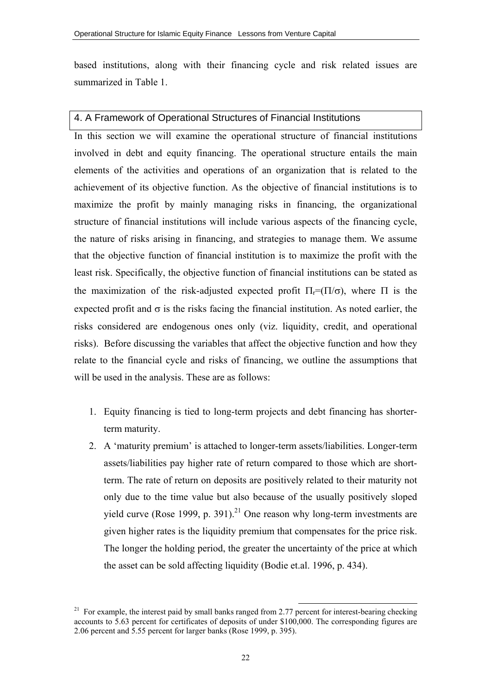based institutions, along with their financing cycle and risk related issues are summarized in Table 1.

#### 4. A Framework of Operational Structures of Financial Institutions

In this section we will examine the operational structure of financial institutions involved in debt and equity financing. The operational structure entails the main elements of the activities and operations of an organization that is related to the achievement of its objective function. As the objective of financial institutions is to maximize the profit by mainly managing risks in financing, the organizational structure of financial institutions will include various aspects of the financing cycle, the nature of risks arising in financing, and strategies to manage them. We assume that the objective function of financial institution is to maximize the profit with the least risk. Specifically, the objective function of financial institutions can be stated as the maximization of the risk-adjusted expected profit  $\Pi_r=(\Pi/\sigma)$ , where  $\Pi$  is the expected profit and  $\sigma$  is the risks facing the financial institution. As noted earlier, the risks considered are endogenous ones only (viz. liquidity, credit, and operational risks). Before discussing the variables that affect the objective function and how they relate to the financial cycle and risks of financing, we outline the assumptions that will be used in the analysis. These are as follows:

- 1. Equity financing is tied to long-term projects and debt financing has shorterterm maturity.
- 2. A 'maturity premium' is attached to longer-term assets/liabilities. Longer-term assets/liabilities pay higher rate of return compared to those which are shortterm. The rate of return on deposits are positively related to their maturity not only due to the time value but also because of the usually positively sloped yield curve (Rose 1999, p. 391).<sup>21</sup> One reason why long-term investments are given higher rates is the liquidity premium that compensates for the price risk. The longer the holding period, the greater the uncertainty of the price at which the asset can be sold affecting liquidity (Bodie et.al. 1996, p. 434).

<sup>&</sup>lt;sup>21</sup> For example, the interest paid by small banks ranged from 2.77 percent for interest-bearing checking accounts to 5.63 percent for certificates of deposits of under \$100,000. The corresponding figures are 2.06 percent and 5.55 percent for larger banks (Rose 1999, p. 395).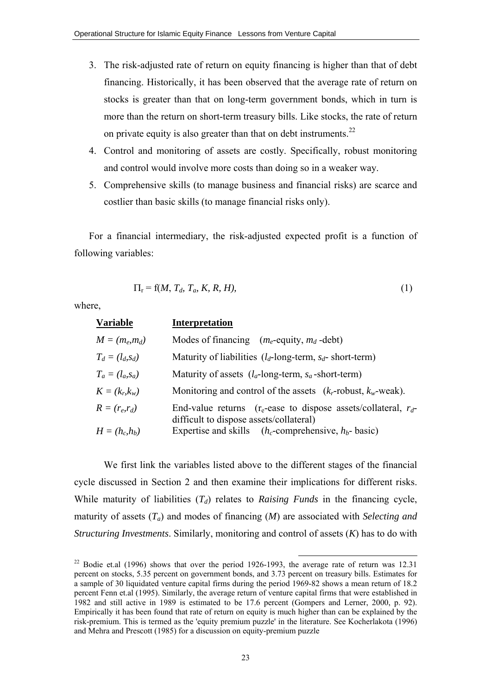- 3. The risk-adjusted rate of return on equity financing is higher than that of debt financing. Historically, it has been observed that the average rate of return on stocks is greater than that on long-term government bonds, which in turn is more than the return on short-term treasury bills. Like stocks, the rate of return on private equity is also greater than that on debt instruments.<sup>22</sup>
- 4. Control and monitoring of assets are costly. Specifically, robust monitoring and control would involve more costs than doing so in a weaker way.
- 5. Comprehensive skills (to manage business and financial risks) are scarce and costlier than basic skills (to manage financial risks only).

For a financial intermediary, the risk-adjusted expected profit is a function of following variables:

$$
\Pi_{\mathbf{r}} = \mathbf{f}(M, T_d, T_a, K, R, H),\tag{1}
$$

where,

| <b>Variable</b>    | <b>Interpretation</b>                                                                                            |
|--------------------|------------------------------------------------------------------------------------------------------------------|
| $M = (m_e, m_d)$   | Modes of financing $(m_e$ -equity, $m_d$ -debt)                                                                  |
| $T_d = (l_d, s_d)$ | Maturity of liabilities $(l_d$ -long-term, $s_d$ - short-term)                                                   |
| $T_a = (l_a, s_a)$ | Maturity of assets $(l_a$ -long-term, $s_a$ -short-term)                                                         |
| $K = (k_r, k_w)$   | Monitoring and control of the assets $(k_r$ -robust, $k_w$ -weak).                                               |
| $R=(r_e,r_d)$      | End-value returns ( $r_e$ -ease to dispose assets/collateral, $r_d$ -<br>difficult to dispose assets/collateral) |
| $H = (h_c, h_b)$   | Expertise and skills $(h_c$ -comprehensive, $h_b$ - basic)                                                       |

We first link the variables listed above to the different stages of the financial cycle discussed in Section 2 and then examine their implications for different risks. While maturity of liabilities  $(T_d)$  relates to *Raising Funds* in the financing cycle, maturity of assets (*Ta*) and modes of financing (*M*) are associated with *Selecting and Structuring Investments*. Similarly, monitoring and control of assets (*K*) has to do with

<sup>&</sup>lt;sup>22</sup> Bodie et.al (1996) shows that over the period 1926-1993, the average rate of return was 12.31 percent on stocks, 5.35 percent on government bonds, and 3.73 percent on treasury bills. Estimates for a sample of 30 liquidated venture capital firms during the period 1969-82 shows a mean return of 18.2 percent Fenn et.al (1995). Similarly, the average return of venture capital firms that were established in 1982 and still active in 1989 is estimated to be 17.6 percent (Gompers and Lerner, 2000, p. 92). Empirically it has been found that rate of return on equity is much higher than can be explained by the risk-premium. This is termed as the 'equity premium puzzle' in the literature. See Kocherlakota (1996) and Mehra and Prescott (1985) for a discussion on equity-premium puzzle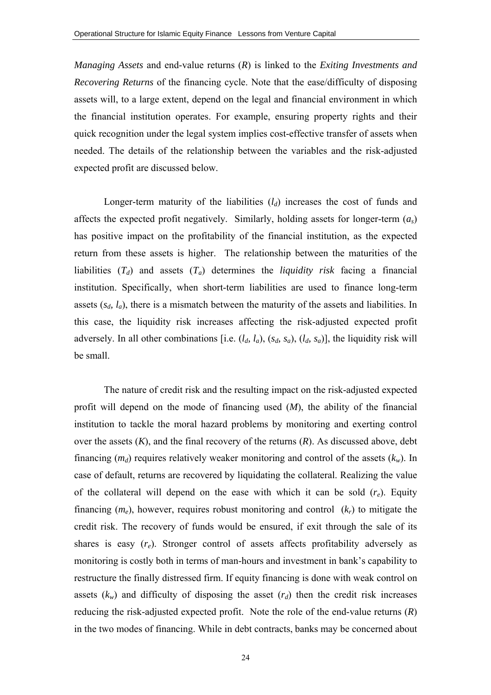*Managing Assets* and end-value returns (*R*) is linked to the *Exiting Investments and Recovering Returns* of the financing cycle. Note that the ease/difficulty of disposing assets will, to a large extent, depend on the legal and financial environment in which the financial institution operates. For example, ensuring property rights and their quick recognition under the legal system implies cost-effective transfer of assets when needed. The details of the relationship between the variables and the risk-adjusted expected profit are discussed below.

Longer-term maturity of the liabilities  $(l_d)$  increases the cost of funds and affects the expected profit negatively. Similarly, holding assets for longer-term (*as*) has positive impact on the profitability of the financial institution, as the expected return from these assets is higher. The relationship between the maturities of the liabilities  $(T_d)$  and assets  $(T_a)$  determines the *liquidity risk* facing a financial institution. Specifically, when short-term liabilities are used to finance long-term assets  $(s_d, l_a)$ , there is a mismatch between the maturity of the assets and liabilities. In this case, the liquidity risk increases affecting the risk-adjusted expected profit adversely. In all other combinations [i.e.  $(l_a, l_a)$ ,  $(s_d, s_a)$ ,  $(l_d, s_a)$ ], the liquidity risk will be small.

 The nature of credit risk and the resulting impact on the risk-adjusted expected profit will depend on the mode of financing used (*M*), the ability of the financial institution to tackle the moral hazard problems by monitoring and exerting control over the assets (*K*), and the final recovery of the returns (*R*). As discussed above, debt financing  $(m_d)$  requires relatively weaker monitoring and control of the assets  $(k_w)$ . In case of default, returns are recovered by liquidating the collateral. Realizing the value of the collateral will depend on the ease with which it can be sold (*re*). Equity financing  $(m_e)$ , however, requires robust monitoring and control  $(k_r)$  to mitigate the credit risk. The recovery of funds would be ensured, if exit through the sale of its shares is easy  $(r_e)$ . Stronger control of assets affects profitability adversely as monitoring is costly both in terms of man-hours and investment in bank's capability to restructure the finally distressed firm. If equity financing is done with weak control on assets  $(k_w)$  and difficulty of disposing the asset  $(r_d)$  then the credit risk increases reducing the risk-adjusted expected profit. Note the role of the end-value returns (*R*) in the two modes of financing. While in debt contracts, banks may be concerned about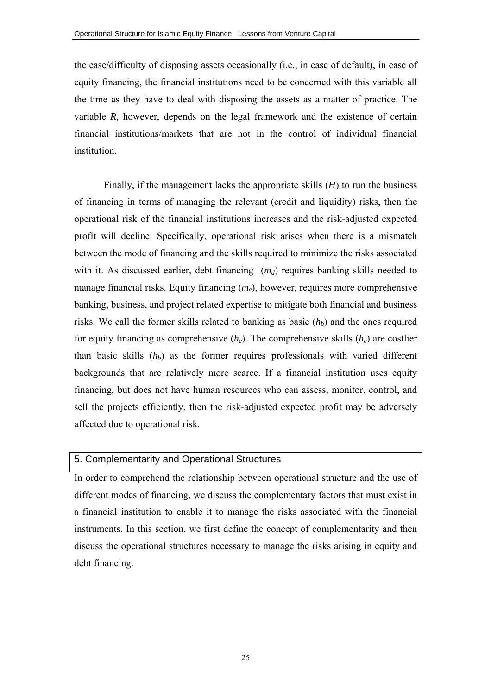the ease/difficulty of disposing assets occasionally (i.e., in case of default), in case of equity financing, the financial institutions need to be concerned with this variable all the time as they have to deal with disposing the assets as a matter of practice. The variable *R*, however, depends on the legal framework and the existence of certain financial institutions/markets that are not in the control of individual financial institution.

Finally, if the management lacks the appropriate skills (*H*) to run the business of financing in terms of managing the relevant (credit and liquidity) risks, then the operational risk of the financial institutions increases and the risk-adjusted expected profit will decline. Specifically, operational risk arises when there is a mismatch between the mode of financing and the skills required to minimize the risks associated with it. As discussed earlier, debt financing  $(m_d)$  requires banking skills needed to manage financial risks. Equity financing  $(m_e)$ , however, requires more comprehensive banking, business, and project related expertise to mitigate both financial and business risks. We call the former skills related to banking as basic  $(h<sub>b</sub>)$  and the ones required for equity financing as comprehensive  $(h<sub>c</sub>)$ . The comprehensive skills  $(h<sub>c</sub>)$  are costlier than basic skills  $(h_b)$  as the former requires professionals with varied different backgrounds that are relatively more scarce. If a financial institution uses equity financing, but does not have human resources who can assess, monitor, control, and sell the projects efficiently, then the risk-adjusted expected profit may be adversely affected due to operational risk.

#### 5. Complementarity and Operational Structures

In order to comprehend the relationship between operational structure and the use of different modes of financing, we discuss the complementary factors that must exist in a financial institution to enable it to manage the risks associated with the financial instruments. In this section, we first define the concept of complementarity and then discuss the operational structures necessary to manage the risks arising in equity and debt financing.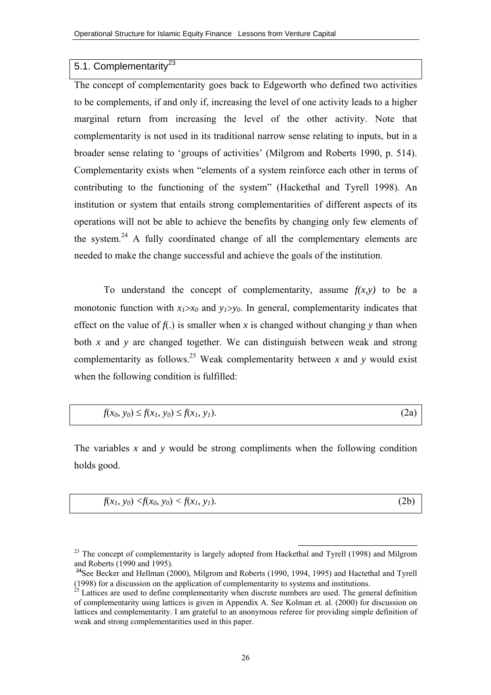#### 5.1. Complementaritv<sup>23</sup>

The concept of complementarity goes back to Edgeworth who defined two activities to be complements, if and only if, increasing the level of one activity leads to a higher marginal return from increasing the level of the other activity. Note that complementarity is not used in its traditional narrow sense relating to inputs, but in a broader sense relating to 'groups of activities' (Milgrom and Roberts 1990, p. 514). Complementarity exists when "elements of a system reinforce each other in terms of contributing to the functioning of the system" (Hackethal and Tyrell 1998). An institution or system that entails strong complementarities of different aspects of its operations will not be able to achieve the benefits by changing only few elements of the system.<sup>24</sup> A fully coordinated change of all the complementary elements are needed to make the change successful and achieve the goals of the institution.

To understand the concept of complementarity, assume  $f(x, y)$  to be a monotonic function with  $x_1 > x_0$  and  $y_1 > y_0$ . In general, complementarity indicates that effect on the value of  $f(.)$  is smaller when *x* is changed without changing *y* than when both *x* and *y* are changed together. We can distinguish between weak and strong complementarity as follows.<sup>25</sup> Weak complementarity between x and y would exist when the following condition is fulfilled:

| (2a)<br>$f(x_0, y_0) \leq f(x_1, y_0) \leq f(x_1, y_1).$ |
|----------------------------------------------------------|
|----------------------------------------------------------|

The variables *x* and *y* would be strong compliments when the following condition holds good.

$$
f(x_1, y_0) < f(x_0, y_0) < f(x_1, y_1).
$$
 (2b)

 $23$  The concept of complementarity is largely adopted from Hackethal and Tyrell (1998) and Milgrom and Roberts (1990 and 1995).

<sup>&</sup>lt;sup>24</sup>See Becker and Hellman (2000), Milgrom and Roberts (1990, 1994, 1995) and Hactethal and Tyrell (1998) for a discussion on the application of complementarity to systems and institutions.

 $\frac{25}{25}$  Lattices are used to define complementarity when discrete numbers are used. The general definition of complementarity using lattices is given in Appendix A. See Kolman et. al. (2000) for discussion on lattices and complementarity. I am grateful to an anonymous referee for providing simple definition of weak and strong complementarities used in this paper.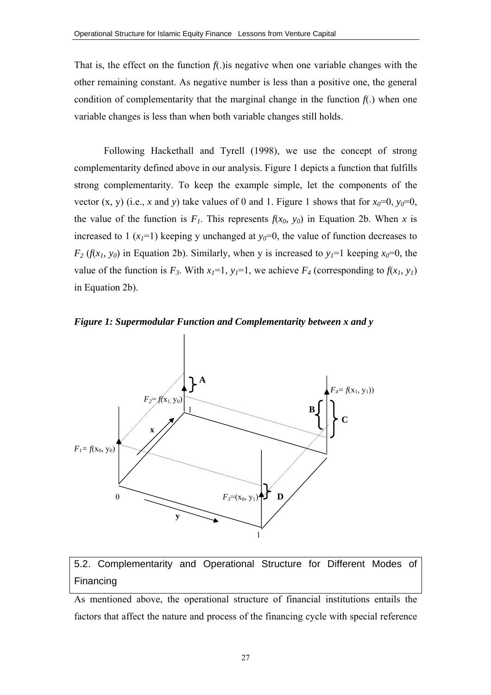That is, the effect on the function  $f(x)$  is negative when one variable changes with the other remaining constant. As negative number is less than a positive one, the general condition of complementarity that the marginal change in the function  $f(.)$  when one variable changes is less than when both variable changes still holds.

Following Hackethall and Tyrell (1998), we use the concept of strong complementarity defined above in our analysis. Figure 1 depicts a function that fulfills strong complementarity. To keep the example simple, let the components of the vector  $(x, y)$  (i.e., *x* and *y*) take values of 0 and 1. Figure 1 shows that for  $x_0=0$ ,  $y_0=0$ , the value of the function is  $F_1$ . This represents  $f(x_0, y_0)$  in Equation 2b. When *x* is increased to 1  $(x_1=1)$  keeping y unchanged at  $y_0=0$ , the value of function decreases to  $F_2(f(x_1, y_0))$  in Equation 2b). Similarly, when y is increased to  $y_1=1$  keeping  $x_0=0$ , the value of the function is  $F_3$ . With  $x_1=1$ ,  $y_1=1$ , we achieve  $F_4$  (corresponding to  $f(x_1, y_1)$ ) in Equation 2b).





# 5.2. Complementarity and Operational Structure for Different Modes of Financing

As mentioned above, the operational structure of financial institutions entails the factors that affect the nature and process of the financing cycle with special reference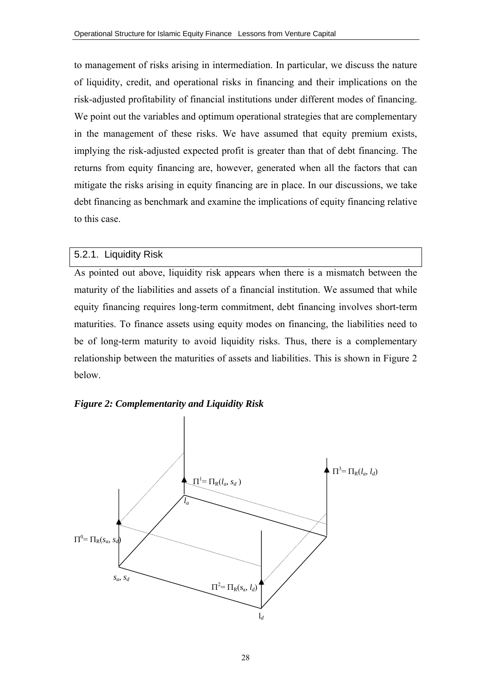to management of risks arising in intermediation. In particular, we discuss the nature of liquidity, credit, and operational risks in financing and their implications on the risk-adjusted profitability of financial institutions under different modes of financing. We point out the variables and optimum operational strategies that are complementary in the management of these risks. We have assumed that equity premium exists, implying the risk-adjusted expected profit is greater than that of debt financing. The returns from equity financing are, however, generated when all the factors that can mitigate the risks arising in equity financing are in place. In our discussions, we take debt financing as benchmark and examine the implications of equity financing relative to this case.

#### 5.2.1. Liquidity Risk

As pointed out above, liquidity risk appears when there is a mismatch between the maturity of the liabilities and assets of a financial institution. We assumed that while equity financing requires long-term commitment, debt financing involves short-term maturities. To finance assets using equity modes on financing, the liabilities need to be of long-term maturity to avoid liquidity risks. Thus, there is a complementary relationship between the maturities of assets and liabilities. This is shown in Figure 2 below.



#### *Figure 2: Complementarity and Liquidity Risk*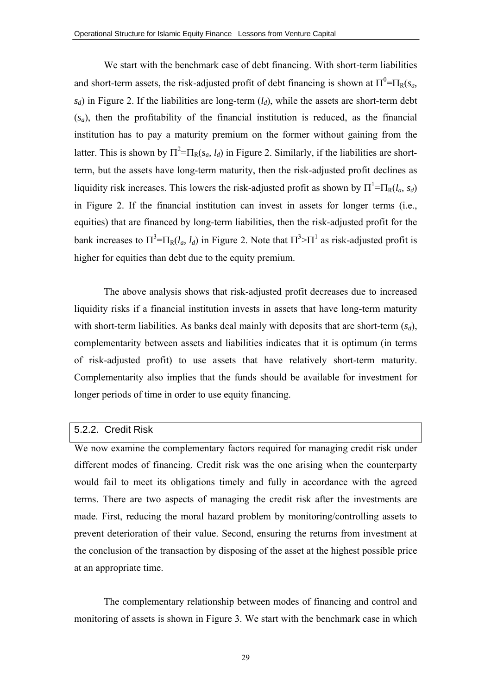We start with the benchmark case of debt financing. With short-term liabilities and short-term assets, the risk-adjusted profit of debt financing is shown at  $\Pi^0 = \Pi_R(s_a, \theta_a)$  $s_d$ ) in Figure 2. If the liabilities are long-term  $(l_d)$ , while the assets are short-term debt (*sa*), then the profitability of the financial institution is reduced, as the financial institution has to pay a maturity premium on the former without gaining from the latter. This is shown by  $\Pi^2 = \Pi_R(s_a, l_d)$  in Figure 2. Similarly, if the liabilities are shortterm, but the assets have long-term maturity, then the risk-adjusted profit declines as liquidity risk increases. This lowers the risk-adjusted profit as shown by  $\Pi^1 = \Pi_R(l_a, s_d)$ in Figure 2. If the financial institution can invest in assets for longer terms (i.e., equities) that are financed by long-term liabilities, then the risk-adjusted profit for the bank increases to  $\Pi^3 = \Pi_R(l_a, l_d)$  in Figure 2. Note that  $\Pi^3 > \Pi^1$  as risk-adjusted profit is higher for equities than debt due to the equity premium.

The above analysis shows that risk-adjusted profit decreases due to increased liquidity risks if a financial institution invests in assets that have long-term maturity with short-term liabilities. As banks deal mainly with deposits that are short-term  $(s_d)$ , complementarity between assets and liabilities indicates that it is optimum (in terms of risk-adjusted profit) to use assets that have relatively short-term maturity. Complementarity also implies that the funds should be available for investment for longer periods of time in order to use equity financing.

#### 5.2.2. Credit Risk

We now examine the complementary factors required for managing credit risk under different modes of financing. Credit risk was the one arising when the counterparty would fail to meet its obligations timely and fully in accordance with the agreed terms. There are two aspects of managing the credit risk after the investments are made. First, reducing the moral hazard problem by monitoring/controlling assets to prevent deterioration of their value. Second, ensuring the returns from investment at the conclusion of the transaction by disposing of the asset at the highest possible price at an appropriate time.

The complementary relationship between modes of financing and control and monitoring of assets is shown in Figure 3. We start with the benchmark case in which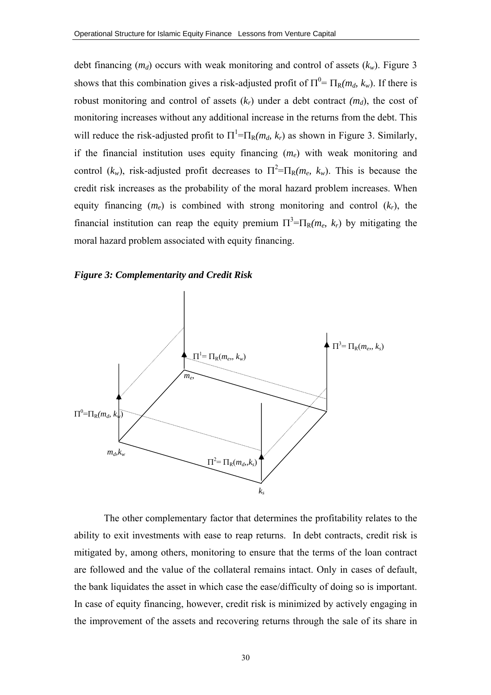debt financing  $(m_d)$  occurs with weak monitoring and control of assets  $(k_w)$ . Figure 3 shows that this combination gives a risk-adjusted profit of  $\Pi^0 = \Pi_R(m_d, k_w)$ . If there is robust monitoring and control of assets  $(k_r)$  under a debt contract  $(m_d)$ , the cost of monitoring increases without any additional increase in the returns from the debt. This will reduce the risk-adjusted profit to  $\Pi^1 = \Pi_R(m_d, k_r)$  as shown in Figure 3. Similarly, if the financial institution uses equity financing (*me*) with weak monitoring and control ( $k_w$ ), risk-adjusted profit decreases to  $\Pi^2 = \Pi_R(m_e, k_w)$ . This is because the credit risk increases as the probability of the moral hazard problem increases. When equity financing  $(m_e)$  is combined with strong monitoring and control  $(k_r)$ , the financial institution can reap the equity premium  $\Pi^3 = \Pi_R(m_e, k_r)$  by mitigating the moral hazard problem associated with equity financing.





The other complementary factor that determines the profitability relates to the ability to exit investments with ease to reap returns. In debt contracts, credit risk is mitigated by, among others, monitoring to ensure that the terms of the loan contract are followed and the value of the collateral remains intact. Only in cases of default, the bank liquidates the asset in which case the ease/difficulty of doing so is important. In case of equity financing, however, credit risk is minimized by actively engaging in the improvement of the assets and recovering returns through the sale of its share in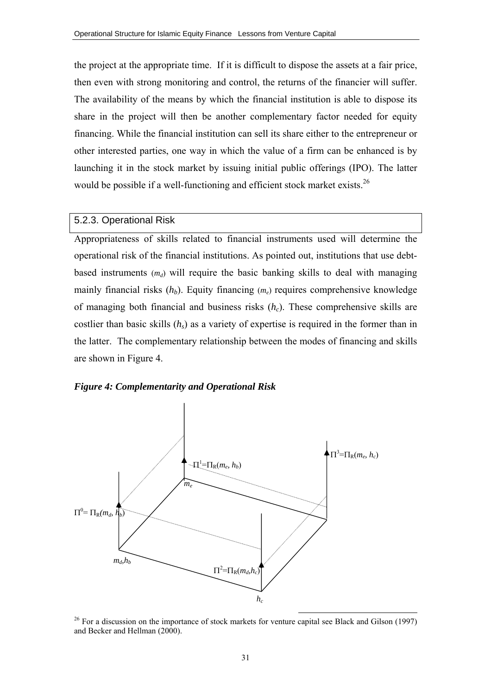the project at the appropriate time. If it is difficult to dispose the assets at a fair price, then even with strong monitoring and control, the returns of the financier will suffer. The availability of the means by which the financial institution is able to dispose its share in the project will then be another complementary factor needed for equity financing. While the financial institution can sell its share either to the entrepreneur or other interested parties, one way in which the value of a firm can be enhanced is by launching it in the stock market by issuing initial public offerings (IPO). The latter would be possible if a well-functioning and efficient stock market exists.<sup>26</sup>

#### 5.2.3. Operational Risk

Appropriateness of skills related to financial instruments used will determine the operational risk of the financial institutions. As pointed out, institutions that use debtbased instruments  $(m_d)$  will require the basic banking skills to deal with managing mainly financial risks  $(h_b)$ . Equity financing  $(m_e)$  requires comprehensive knowledge of managing both financial and business risks (*hc*). These comprehensive skills are costlier than basic skills (*hs*) as a variety of expertise is required in the former than in the latter. The complementary relationship between the modes of financing and skills are shown in Figure 4.





 $26$  For a discussion on the importance of stock markets for venture capital see Black and Gilson (1997) and Becker and Hellman (2000).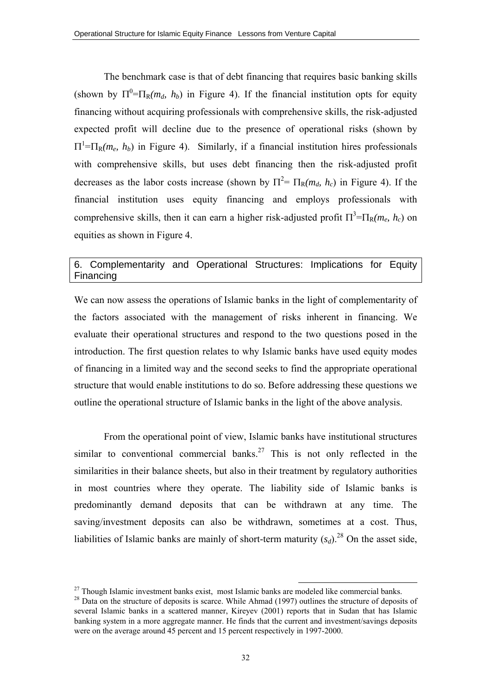The benchmark case is that of debt financing that requires basic banking skills (shown by  $\Pi^0 = \Pi_R(m_d, h_b)$  in Figure 4). If the financial institution opts for equity financing without acquiring professionals with comprehensive skills, the risk-adjusted expected profit will decline due to the presence of operational risks (shown by  $\Pi^1$ = $\Pi_R(m_e, h_b)$  in Figure 4). Similarly, if a financial institution hires professionals with comprehensive skills, but uses debt financing then the risk-adjusted profit decreases as the labor costs increase (shown by  $\Pi^2 = \Pi_R(m_d, h_c)$  in Figure 4). If the financial institution uses equity financing and employs professionals with comprehensive skills, then it can earn a higher risk-adjusted profit  $\Pi^3 = \Pi_R(m_e, h_c)$  on equities as shown in Figure 4.

# 6. Complementarity and Operational Structures: Implications for Equity Financing

We can now assess the operations of Islamic banks in the light of complementarity of the factors associated with the management of risks inherent in financing. We evaluate their operational structures and respond to the two questions posed in the introduction. The first question relates to why Islamic banks have used equity modes of financing in a limited way and the second seeks to find the appropriate operational structure that would enable institutions to do so. Before addressing these questions we outline the operational structure of Islamic banks in the light of the above analysis.

From the operational point of view, Islamic banks have institutional structures similar to conventional commercial banks.<sup>27</sup> This is not only reflected in the similarities in their balance sheets, but also in their treatment by regulatory authorities in most countries where they operate. The liability side of Islamic banks is predominantly demand deposits that can be withdrawn at any time. The saving/investment deposits can also be withdrawn, sometimes at a cost. Thus, liabilities of Islamic banks are mainly of short-term maturity  $(s_d)$ .<sup>28</sup> On the asset side,

 $27$  Though Islamic investment banks exist, most Islamic banks are modeled like commercial banks. <sup>28</sup> Data on the structure of deposits is scarce. While Ahmad (1997) outlines the structure of deposits of several Islamic banks in a scattered manner, Kireyev (2001) reports that in Sudan that has Islamic banking system in a more aggregate manner. He finds that the current and investment/savings deposits were on the average around 45 percent and 15 percent respectively in 1997-2000.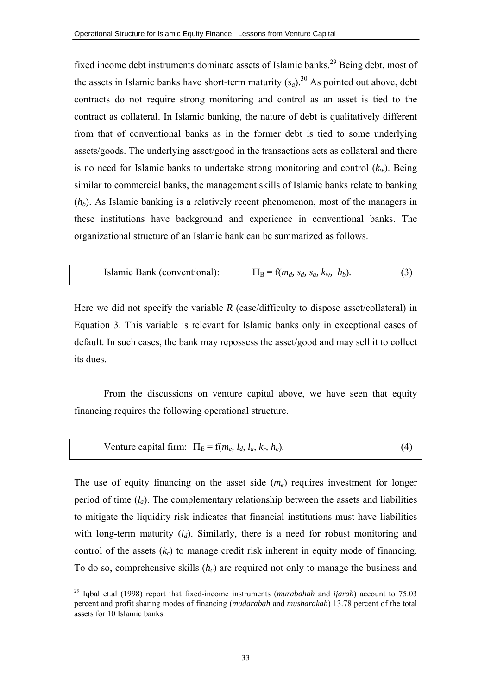fixed income debt instruments dominate assets of Islamic banks.<sup>29</sup> Being debt, most of the assets in Islamic banks have short-term maturity  $(s_a)$ .<sup>30</sup> As pointed out above, debt contracts do not require strong monitoring and control as an asset is tied to the contract as collateral. In Islamic banking, the nature of debt is qualitatively different from that of conventional banks as in the former debt is tied to some underlying assets/goods. The underlying asset/good in the transactions acts as collateral and there is no need for Islamic banks to undertake strong monitoring and control  $(k_w)$ . Being similar to commercial banks, the management skills of Islamic banks relate to banking (*hb*). As Islamic banking is a relatively recent phenomenon, most of the managers in these institutions have background and experience in conventional banks. The organizational structure of an Islamic bank can be summarized as follows.

Islamic Bank (conventional): 
$$
\Pi_B = f(m_d, s_d, s_a, k_w, h_b)
$$
. (3)

Here we did not specify the variable  $R$  (ease/difficulty to dispose asset/collateral) in Equation 3. This variable is relevant for Islamic banks only in exceptional cases of default. In such cases, the bank may repossess the asset/good and may sell it to collect its dues.

From the discussions on venture capital above, we have seen that equity financing requires the following operational structure.

$$
Venture capital firm: \ \Pi_E = f(m_e, l_d, l_a, k_r, h_c). \tag{4}
$$

The use of equity financing on the asset side  $(m_e)$  requires investment for longer period of time  $(l_a)$ . The complementary relationship between the assets and liabilities to mitigate the liquidity risk indicates that financial institutions must have liabilities with long-term maturity  $(l_d)$ . Similarly, there is a need for robust monitoring and control of the assets  $(k_r)$  to manage credit risk inherent in equity mode of financing. To do so, comprehensive skills (*h<sub>c</sub>*) are required not only to manage the business and

 <sup>29</sup> Iqbal et.al (1998) report that fixed-income instruments (*murabahah* and *ijarah*) account to 75.03 percent and profit sharing modes of financing (*mudarabah* and *musharakah*) 13.78 percent of the total assets for 10 Islamic banks.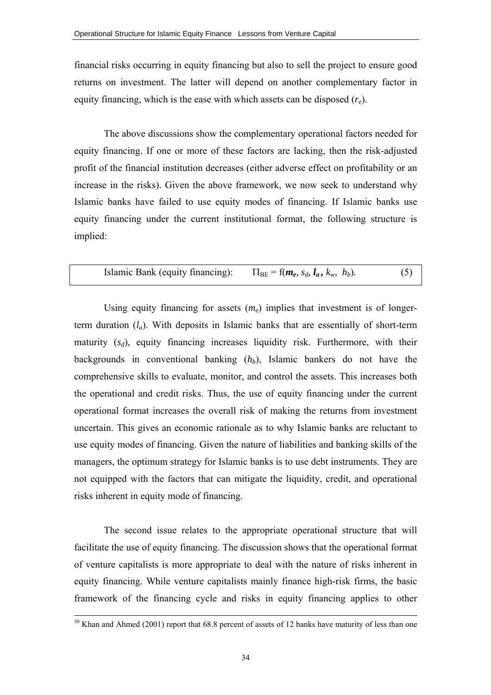financial risks occurring in equity financing but also to sell the project to ensure good returns on investment. The latter will depend on another complementary factor in equity financing, which is the ease with which assets can be disposed (*re*).

The above discussions show the complementary operational factors needed for equity financing. If one or more of these factors are lacking, then the risk-adjusted profit of the financial institution decreases (either adverse effect on profitability or an increase in the risks). Given the above framework, we now seek to understand why Islamic banks have failed to use equity modes of financing. If Islamic banks use equity financing under the current institutional format, the following structure is implied:

Islamic Bank (equity financing): 
$$
\Pi_{BE} = f(m_e, s_d, l_a, k_w, h_b)
$$
. (5)

Using equity financing for assets  $(m_e)$  implies that investment is of longerterm duration (*la*). With deposits in Islamic banks that are essentially of short-term maturity  $(s_d)$ , equity financing increases liquidity risk. Furthermore, with their backgrounds in conventional banking  $(h_b)$ , Islamic bankers do not have the comprehensive skills to evaluate, monitor, and control the assets. This increases both the operational and credit risks. Thus, the use of equity financing under the current operational format increases the overall risk of making the returns from investment uncertain. This gives an economic rationale as to why Islamic banks are reluctant to use equity modes of financing. Given the nature of liabilities and banking skills of the managers, the optimum strategy for Islamic banks is to use debt instruments. They are not equipped with the factors that can mitigate the liquidity, credit, and operational risks inherent in equity mode of financing.

 The second issue relates to the appropriate operational structure that will facilitate the use of equity financing. The discussion shows that the operational format of venture capitalists is more appropriate to deal with the nature of risks inherent in equity financing. While venture capitalists mainly finance high-risk firms, the basic framework of the financing cycle and risks in equity financing applies to other

<sup>&</sup>lt;sup>30</sup> Khan and Ahmed (2001) report that 68.8 percent of assets of 12 banks have maturity of less than one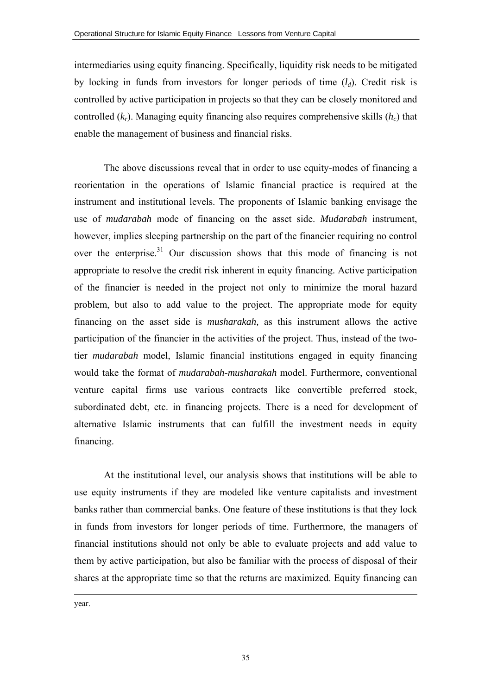intermediaries using equity financing. Specifically, liquidity risk needs to be mitigated by locking in funds from investors for longer periods of time  $(l_d)$ . Credit risk is controlled by active participation in projects so that they can be closely monitored and controlled  $(k_r)$ . Managing equity financing also requires comprehensive skills  $(h_c)$  that enable the management of business and financial risks.

 The above discussions reveal that in order to use equity-modes of financing a reorientation in the operations of Islamic financial practice is required at the instrument and institutional levels. The proponents of Islamic banking envisage the use of *mudarabah* mode of financing on the asset side. *Mudarabah* instrument, however, implies sleeping partnership on the part of the financier requiring no control over the enterprise.<sup>31</sup> Our discussion shows that this mode of financing is not appropriate to resolve the credit risk inherent in equity financing. Active participation of the financier is needed in the project not only to minimize the moral hazard problem, but also to add value to the project. The appropriate mode for equity financing on the asset side is *musharakah,* as this instrument allows the active participation of the financier in the activities of the project. Thus, instead of the twotier *mudarabah* model, Islamic financial institutions engaged in equity financing would take the format of *mudarabah-musharakah* model. Furthermore, conventional venture capital firms use various contracts like convertible preferred stock, subordinated debt, etc. in financing projects. There is a need for development of alternative Islamic instruments that can fulfill the investment needs in equity financing.

At the institutional level, our analysis shows that institutions will be able to use equity instruments if they are modeled like venture capitalists and investment banks rather than commercial banks. One feature of these institutions is that they lock in funds from investors for longer periods of time. Furthermore, the managers of financial institutions should not only be able to evaluate projects and add value to them by active participation, but also be familiar with the process of disposal of their shares at the appropriate time so that the returns are maximized. Equity financing can

year.

-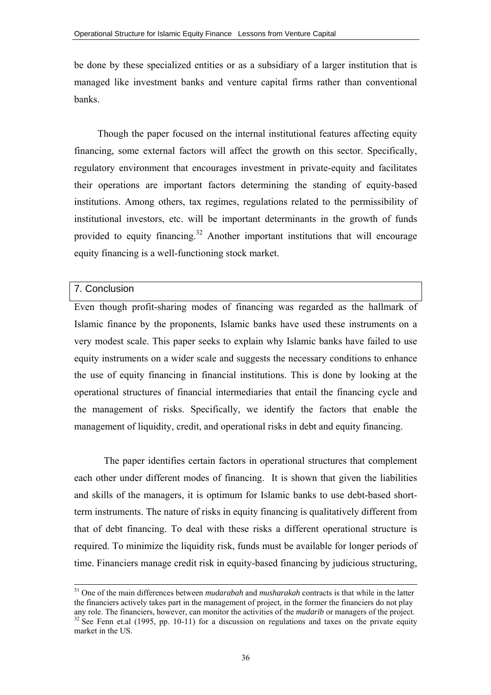be done by these specialized entities or as a subsidiary of a larger institution that is managed like investment banks and venture capital firms rather than conventional banks.

Though the paper focused on the internal institutional features affecting equity financing, some external factors will affect the growth on this sector. Specifically, regulatory environment that encourages investment in private-equity and facilitates their operations are important factors determining the standing of equity-based institutions. Among others, tax regimes, regulations related to the permissibility of institutional investors, etc. will be important determinants in the growth of funds provided to equity financing.<sup>32</sup> Another important institutions that will encourage equity financing is a well-functioning stock market.

# 7. Conclusion

Even though profit-sharing modes of financing was regarded as the hallmark of Islamic finance by the proponents, Islamic banks have used these instruments on a very modest scale. This paper seeks to explain why Islamic banks have failed to use equity instruments on a wider scale and suggests the necessary conditions to enhance the use of equity financing in financial institutions. This is done by looking at the operational structures of financial intermediaries that entail the financing cycle and the management of risks. Specifically, we identify the factors that enable the management of liquidity, credit, and operational risks in debt and equity financing.

The paper identifies certain factors in operational structures that complement each other under different modes of financing. It is shown that given the liabilities and skills of the managers, it is optimum for Islamic banks to use debt-based shortterm instruments. The nature of risks in equity financing is qualitatively different from that of debt financing. To deal with these risks a different operational structure is required. To minimize the liquidity risk, funds must be available for longer periods of time. Financiers manage credit risk in equity-based financing by judicious structuring,

 <sup>31</sup> One of the main differences between *mudarabah* and *musharakah* contracts is that while in the latter the financiers actively takes part in the management of project, in the former the financiers do not play any role. The financiers, however, can monitor the activities of the *mudarib* or managers of the project. <sup>32</sup> See Fenn et.al (1995, pp. 10-11) for a discussion on regulations and taxes on the private equity market in the US.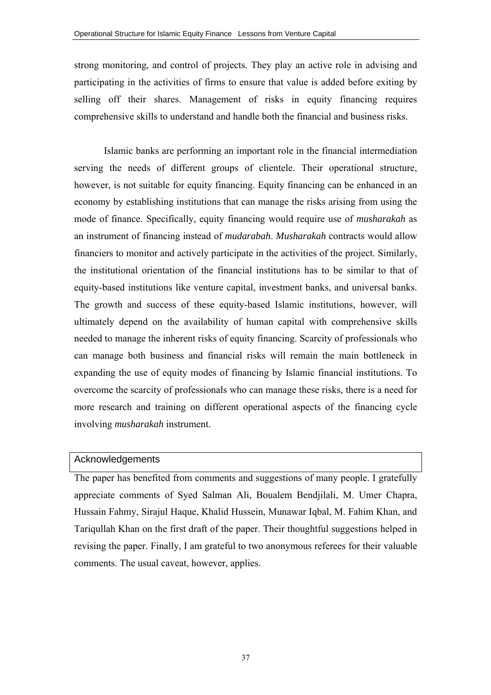strong monitoring, and control of projects. They play an active role in advising and participating in the activities of firms to ensure that value is added before exiting by selling off their shares. Management of risks in equity financing requires comprehensive skills to understand and handle both the financial and business risks.

Islamic banks are performing an important role in the financial intermediation serving the needs of different groups of clientele. Their operational structure, however, is not suitable for equity financing. Equity financing can be enhanced in an economy by establishing institutions that can manage the risks arising from using the mode of finance. Specifically, equity financing would require use of *musharakah* as an instrument of financing instead of *mudarabah*. *Musharakah* contracts would allow financiers to monitor and actively participate in the activities of the project. Similarly, the institutional orientation of the financial institutions has to be similar to that of equity-based institutions like venture capital, investment banks, and universal banks. The growth and success of these equity-based Islamic institutions, however, will ultimately depend on the availability of human capital with comprehensive skills needed to manage the inherent risks of equity financing. Scarcity of professionals who can manage both business and financial risks will remain the main bottleneck in expanding the use of equity modes of financing by Islamic financial institutions. To overcome the scarcity of professionals who can manage these risks, there is a need for more research and training on different operational aspects of the financing cycle involving *musharakah* instrument.

#### Acknowledgements

The paper has benefited from comments and suggestions of many people. I gratefully appreciate comments of Syed Salman Ali, Boualem Bendjilali, M. Umer Chapra, Hussain Fahmy, Sirajul Haque, Khalid Hussein, Munawar Iqbal, M. Fahim Khan, and Tariqullah Khan on the first draft of the paper. Their thoughtful suggestions helped in revising the paper. Finally, I am grateful to two anonymous referees for their valuable comments. The usual caveat, however, applies.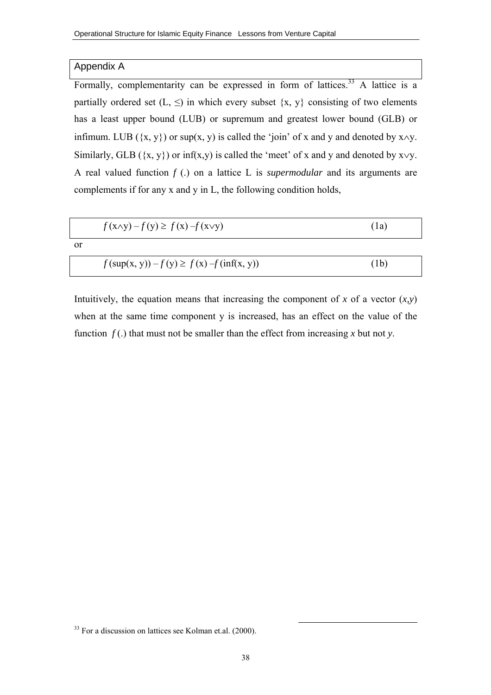#### Appendix A

Formally, complementarity can be expressed in form of lattices.<sup>33</sup> A lattice is a partially ordered set  $(L, \leq)$  in which every subset  $\{x, y\}$  consisting of two elements has a least upper bound (LUB) or supremum and greatest lower bound (GLB) or infimum. LUB ( $\{x, y\}$ ) or sup(x, y) is called the 'join' of x and y and denoted by x∧y. Similarly, GLB ( $\{x, y\}$ ) or inf(x,y) is called the 'meet' of x and y and denoted by x $\vee$ y. A real valued function *f* (.) on a lattice L is *supermodular* and its arguments are complements if for any x and y in L, the following condition holds,

|               | $f(x\land y) - f(y) \ge f(x) - f(x\lor y)$      | (1a) |
|---------------|-------------------------------------------------|------|
| <sub>or</sub> |                                                 |      |
|               | $f(\sup(x, y)) - f(y) \ge f(x) - f(\inf(x, y))$ | (1b) |

Intuitively, the equation means that increasing the component of  $x$  of a vector  $(x, y)$ when at the same time component y is increased, has an effect on the value of the function  $f(.)$  that must not be smaller than the effect from increasing x but not y.

<sup>&</sup>lt;sup>33</sup> For a discussion on lattices see Kolman et.al. (2000).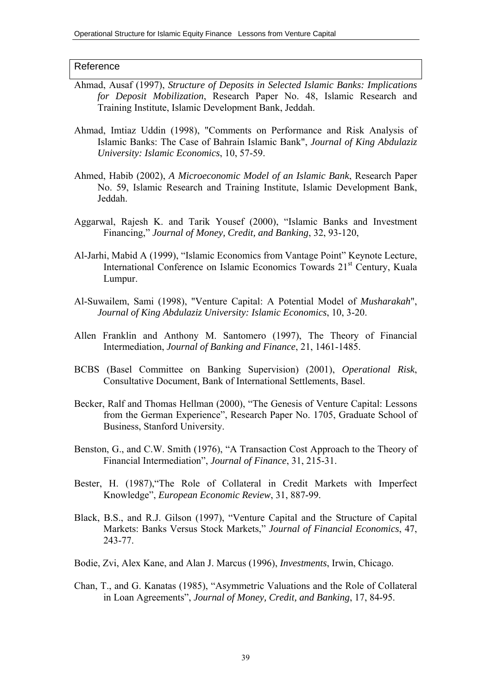#### Reference

- Ahmad, Ausaf (1997), *Structure of Deposits in Selected Islamic Banks: Implications for Deposit Mobilization*, Research Paper No. 48, Islamic Research and Training Institute, Islamic Development Bank, Jeddah.
- Ahmad, Imtiaz Uddin (1998), "Comments on Performance and Risk Analysis of Islamic Banks: The Case of Bahrain Islamic Bank", *Journal of King Abdulaziz University: Islamic Economics*, 10, 57-59.
- Ahmed, Habib (2002), *A Microeconomic Model of an Islamic Bank*, Research Paper No. 59, Islamic Research and Training Institute, Islamic Development Bank, Jeddah.
- Aggarwal, Rajesh K. and Tarik Yousef (2000), "Islamic Banks and Investment Financing," *Journal of Money, Credit, and Banking*, 32, 93-120,
- Al-Jarhi, Mabid A (1999), "Islamic Economics from Vantage Point" Keynote Lecture, International Conference on Islamic Economics Towards 21<sup>st</sup> Century, Kuala Lumpur.
- Al-Suwailem, Sami (1998), "Venture Capital: A Potential Model of *Musharakah*", *Journal of King Abdulaziz University: Islamic Economics*, 10, 3-20.
- Allen Franklin and Anthony M. Santomero (1997), The Theory of Financial Intermediation, *Journal of Banking and Finance*, 21, 1461-1485.
- BCBS (Basel Committee on Banking Supervision) (2001), *Operational Risk*, Consultative Document, Bank of International Settlements, Basel.
- Becker, Ralf and Thomas Hellman (2000), "The Genesis of Venture Capital: Lessons from the German Experience", Research Paper No. 1705, Graduate School of Business, Stanford University.
- Benston, G., and C.W. Smith (1976), "A Transaction Cost Approach to the Theory of Financial Intermediation", *Journal of Finance*, 31, 215-31.
- Bester, H. (1987),"The Role of Collateral in Credit Markets with Imperfect Knowledge", *European Economic Review*, 31, 887-99.
- Black, B.S., and R.J. Gilson (1997), "Venture Capital and the Structure of Capital Markets: Banks Versus Stock Markets," *Journal of Financial Economics*, 47, 243-77.
- Bodie, Zvi, Alex Kane, and Alan J. Marcus (1996), *Investments*, Irwin, Chicago.
- Chan, T., and G. Kanatas (1985), "Asymmetric Valuations and the Role of Collateral in Loan Agreements", *Journal of Money, Credit, and Banking*, 17, 84-95.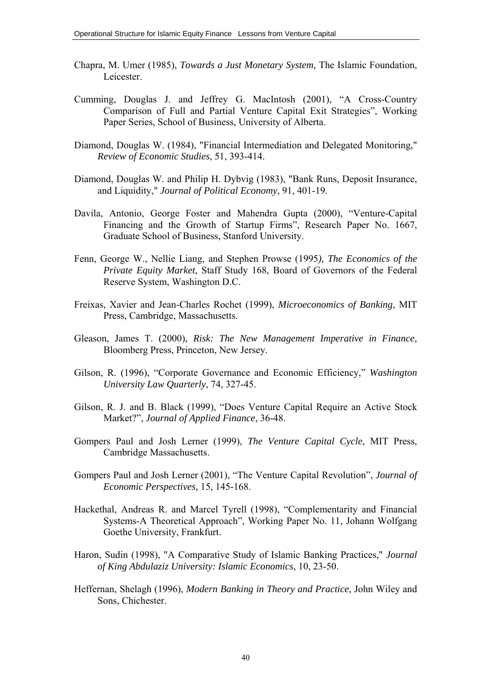- Chapra, M. Umer (1985), *Towards a Just Monetary System,* The Islamic Foundation, Leicester.
- Cumming, Douglas J. and Jeffrey G. MacIntosh (2001), "A Cross-Country Comparison of Full and Partial Venture Capital Exit Strategies", Working Paper Series, School of Business, University of Alberta.
- Diamond, Douglas W. (1984), "Financial Intermediation and Delegated Monitoring," *Review of Economic Studies*, 51, 393-414.
- Diamond, Douglas W. and Philip H. Dybvig (1983), "Bank Runs, Deposit Insurance, and Liquidity," *Journal of Political Economy*, 91, 401-19.
- Davila, Antonio, George Foster and Mahendra Gupta (2000), "Venture-Capital Financing and the Growth of Startup Firms", Research Paper No. 1667, Graduate School of Business, Stanford University.
- Fenn, George W., Nellie Liang, and Stephen Prowse (1995*), The Economics of the Private Equity Market*, Staff Study 168, Board of Governors of the Federal Reserve System, Washington D.C.
- Freixas, Xavier and Jean-Charles Rochet (1999), *Microeconomics of Banking*, MIT Press, Cambridge, Massachusetts.
- Gleason, James T. (2000), *Risk: The New Management Imperative in Finance,* Bloomberg Press, Princeton, New Jersey.
- Gilson, R. (1996), "Corporate Governance and Economic Efficiency," *Washington University Law Quarterly*, 74, 327-45.
- Gilson, R. J. and B. Black (1999), "Does Venture Capital Require an Active Stock Market?", *Journal of Applied Finance*, 36-48.
- Gompers Paul and Josh Lerner (1999), *The Venture Capital Cycle*, MIT Press, Cambridge Massachusetts.
- Gompers Paul and Josh Lerner (2001), "The Venture Capital Revolution", *Journal of Economic Perspectives,* 15, 145-168.
- Hackethal, Andreas R. and Marcel Tyrell (1998), "Complementarity and Financial Systems-A Theoretical Approach", Working Paper No. 11, Johann Wolfgang Goethe University, Frankfurt.
- Haron, Sudin (1998), "A Comparative Study of Islamic Banking Practices," *Journal of King Abdulaziz University: Islamic Economics*, 10, 23-50.
- Heffernan, Shelagh (1996), *Modern Banking in Theory and Practice*, John Wiley and Sons, Chichester.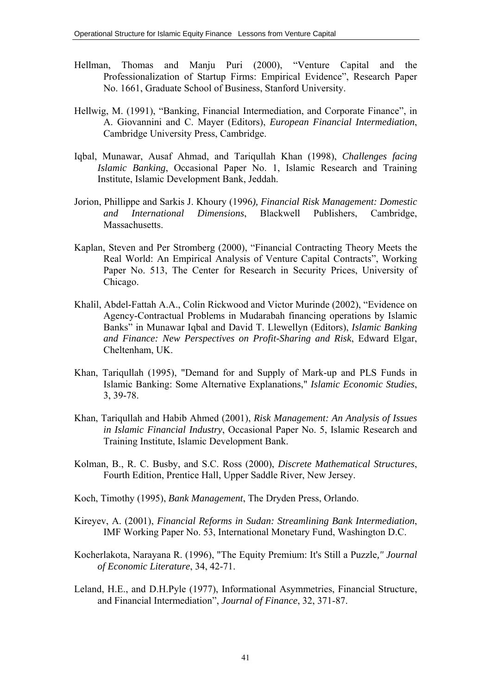- Hellman, Thomas and Manju Puri (2000), "Venture Capital and the Professionalization of Startup Firms: Empirical Evidence", Research Paper No. 1661, Graduate School of Business, Stanford University.
- Hellwig, M. (1991), "Banking, Financial Intermediation, and Corporate Finance", in A. Giovannini and C. Mayer (Editors), *European Financial Intermediation*, Cambridge University Press, Cambridge.
- Iqbal, Munawar, Ausaf Ahmad, and Tariqullah Khan (1998), *Challenges facing Islamic Banking*, Occasional Paper No. 1, Islamic Research and Training Institute, Islamic Development Bank, Jeddah.
- Jorion, Phillippe and Sarkis J. Khoury (1996*), Financial Risk Management: Domestic and International Dimensions*, Blackwell Publishers, Cambridge, **Massachusetts**
- Kaplan, Steven and Per Stromberg (2000), "Financial Contracting Theory Meets the Real World: An Empirical Analysis of Venture Capital Contracts", Working Paper No. 513, The Center for Research in Security Prices, University of Chicago.
- Khalil, Abdel-Fattah A.A., Colin Rickwood and Victor Murinde (2002), "Evidence on Agency-Contractual Problems in Mudarabah financing operations by Islamic Banks" in Munawar Iqbal and David T. Llewellyn (Editors), *Islamic Banking and Finance: New Perspectives on Profit-Sharing and Risk*, Edward Elgar, Cheltenham, UK.
- Khan, Tariqullah (1995), "Demand for and Supply of Mark-up and PLS Funds in Islamic Banking: Some Alternative Explanations," *Islamic Economic Studies*, 3, 39-78.
- Khan, Tariqullah and Habib Ahmed (2001), *Risk Management: An Analysis of Issues in Islamic Financial Industry*, Occasional Paper No. 5, Islamic Research and Training Institute, Islamic Development Bank.
- Kolman, B., R. C. Busby, and S.C. Ross (2000), *Discrete Mathematical Structures*, Fourth Edition, Prentice Hall, Upper Saddle River, New Jersey.
- Koch, Timothy (1995), *Bank Management*, The Dryden Press, Orlando.
- Kireyev, A. (2001), *Financial Reforms in Sudan: Streamlining Bank Intermediation*, IMF Working Paper No. 53, International Monetary Fund, Washington D.C.
- Kocherlakota, Narayana R. (1996), "The Equity Premium: It's Still a Puzzle*," Journal of Economic Literature*, 34, 42-71.
- Leland, H.E., and D.H.Pyle (1977), Informational Asymmetries, Financial Structure, and Financial Intermediation", *Journal of Finance*, 32, 371-87.